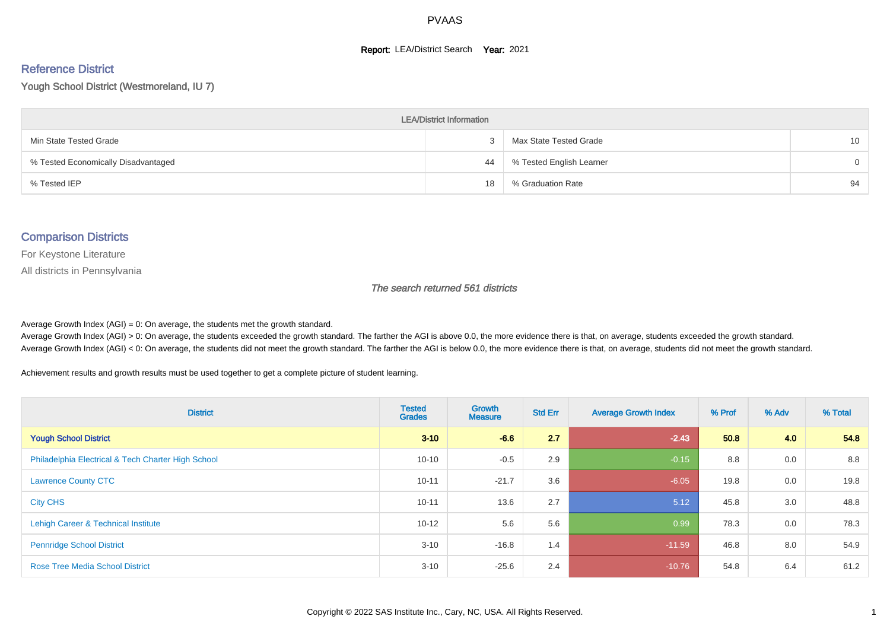#### **Report: LEA/District Search Year: 2021**

# Reference District

Yough School District (Westmoreland, IU 7)

| <b>LEA/District Information</b>     |    |                          |                 |  |  |  |  |  |  |  |
|-------------------------------------|----|--------------------------|-----------------|--|--|--|--|--|--|--|
| Min State Tested Grade              |    | Max State Tested Grade   | 10 <sup>°</sup> |  |  |  |  |  |  |  |
| % Tested Economically Disadvantaged | 44 | % Tested English Learner | $\Omega$        |  |  |  |  |  |  |  |
| % Tested IEP                        | 18 | % Graduation Rate        | 94              |  |  |  |  |  |  |  |

#### Comparison Districts

For Keystone Literature

All districts in Pennsylvania

The search returned 561 districts

Average Growth Index  $(AGI) = 0$ : On average, the students met the growth standard.

Average Growth Index (AGI) > 0: On average, the students exceeded the growth standard. The farther the AGI is above 0.0, the more evidence there is that, on average, students exceeded the growth standard. Average Growth Index (AGI) < 0: On average, the students did not meet the growth standard. The farther the AGI is below 0.0, the more evidence there is that, on average, students did not meet the growth standard.

Achievement results and growth results must be used together to get a complete picture of student learning.

| <b>District</b>                                    | <b>Tested</b><br><b>Grades</b> | <b>Growth</b><br><b>Measure</b> | <b>Std Err</b> | <b>Average Growth Index</b> | % Prof | % Adv | % Total |
|----------------------------------------------------|--------------------------------|---------------------------------|----------------|-----------------------------|--------|-------|---------|
| <b>Yough School District</b>                       | $3 - 10$                       | $-6.6$                          | 2.7            | $-2.43$                     | 50.8   | 4.0   | 54.8    |
| Philadelphia Electrical & Tech Charter High School | $10 - 10$                      | $-0.5$                          | 2.9            | $-0.15$                     | 8.8    | 0.0   | 8.8     |
| <b>Lawrence County CTC</b>                         | $10 - 11$                      | $-21.7$                         | 3.6            | $-6.05$                     | 19.8   | 0.0   | 19.8    |
| <b>City CHS</b>                                    | $10 - 11$                      | 13.6                            | 2.7            | 5.12                        | 45.8   | 3.0   | 48.8    |
| Lehigh Career & Technical Institute                | $10 - 12$                      | 5.6                             | 5.6            | 0.99                        | 78.3   | 0.0   | 78.3    |
| <b>Pennridge School District</b>                   | $3 - 10$                       | $-16.8$                         | 1.4            | $-11.59$                    | 46.8   | 8.0   | 54.9    |
| <b>Rose Tree Media School District</b>             | $3 - 10$                       | $-25.6$                         | 2.4            | $-10.76$                    | 54.8   | 6.4   | 61.2    |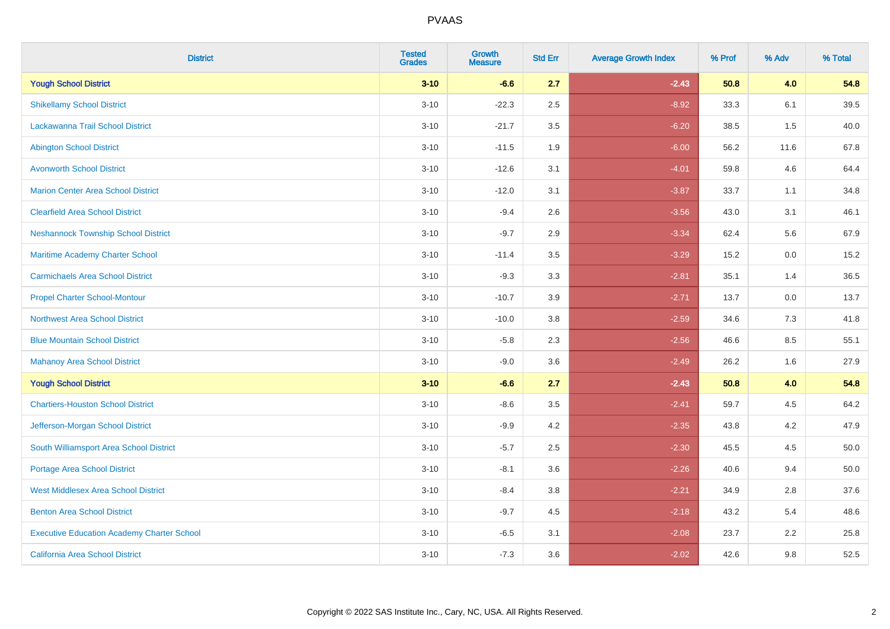| <b>District</b>                                   | <b>Tested</b><br><b>Grades</b> | <b>Growth</b><br><b>Measure</b> | <b>Std Err</b> | <b>Average Growth Index</b> | % Prof | % Adv   | % Total |
|---------------------------------------------------|--------------------------------|---------------------------------|----------------|-----------------------------|--------|---------|---------|
| <b>Yough School District</b>                      | $3 - 10$                       | $-6.6$                          | 2.7            | $-2.43$                     | 50.8   | 4.0     | 54.8    |
| <b>Shikellamy School District</b>                 | $3 - 10$                       | $-22.3$                         | 2.5            | $-8.92$                     | 33.3   | 6.1     | 39.5    |
| Lackawanna Trail School District                  | $3 - 10$                       | $-21.7$                         | 3.5            | $-6.20$                     | 38.5   | 1.5     | 40.0    |
| <b>Abington School District</b>                   | $3 - 10$                       | $-11.5$                         | 1.9            | $-6.00$                     | 56.2   | 11.6    | 67.8    |
| <b>Avonworth School District</b>                  | $3 - 10$                       | $-12.6$                         | 3.1            | $-4.01$                     | 59.8   | 4.6     | 64.4    |
| <b>Marion Center Area School District</b>         | $3 - 10$                       | $-12.0$                         | 3.1            | $-3.87$                     | 33.7   | 1.1     | 34.8    |
| <b>Clearfield Area School District</b>            | $3 - 10$                       | $-9.4$                          | 2.6            | $-3.56$                     | 43.0   | 3.1     | 46.1    |
| <b>Neshannock Township School District</b>        | $3 - 10$                       | $-9.7$                          | 2.9            | $-3.34$                     | 62.4   | 5.6     | 67.9    |
| Maritime Academy Charter School                   | $3 - 10$                       | $-11.4$                         | 3.5            | $-3.29$                     | 15.2   | 0.0     | 15.2    |
| <b>Carmichaels Area School District</b>           | $3 - 10$                       | $-9.3$                          | 3.3            | $-2.81$                     | 35.1   | 1.4     | 36.5    |
| <b>Propel Charter School-Montour</b>              | $3 - 10$                       | $-10.7$                         | 3.9            | $-2.71$                     | 13.7   | 0.0     | 13.7    |
| <b>Northwest Area School District</b>             | $3 - 10$                       | $-10.0$                         | 3.8            | $-2.59$                     | 34.6   | 7.3     | 41.8    |
| <b>Blue Mountain School District</b>              | $3 - 10$                       | $-5.8$                          | 2.3            | $-2.56$                     | 46.6   | $8.5\,$ | 55.1    |
| <b>Mahanoy Area School District</b>               | $3 - 10$                       | $-9.0$                          | 3.6            | $-2.49$                     | 26.2   | 1.6     | 27.9    |
| <b>Yough School District</b>                      | $3 - 10$                       | $-6.6$                          | 2.7            | $-2.43$                     | 50.8   | 4.0     | 54.8    |
| <b>Chartiers-Houston School District</b>          | $3 - 10$                       | $-8.6$                          | 3.5            | $-2.41$                     | 59.7   | 4.5     | 64.2    |
| Jefferson-Morgan School District                  | $3 - 10$                       | $-9.9$                          | 4.2            | $-2.35$                     | 43.8   | 4.2     | 47.9    |
| South Williamsport Area School District           | $3 - 10$                       | $-5.7$                          | 2.5            | $-2.30$                     | 45.5   | 4.5     | 50.0    |
| Portage Area School District                      | $3 - 10$                       | $-8.1$                          | 3.6            | $-2.26$                     | 40.6   | 9.4     | 50.0    |
| <b>West Middlesex Area School District</b>        | $3 - 10$                       | $-8.4$                          | 3.8            | $-2.21$                     | 34.9   | 2.8     | 37.6    |
| <b>Benton Area School District</b>                | $3 - 10$                       | $-9.7$                          | 4.5            | $-2.18$                     | 43.2   | 5.4     | 48.6    |
| <b>Executive Education Academy Charter School</b> | $3 - 10$                       | $-6.5$                          | 3.1            | $-2.08$                     | 23.7   | 2.2     | 25.8    |
| California Area School District                   | $3 - 10$                       | $-7.3$                          | 3.6            | $-2.02$                     | 42.6   | 9.8     | 52.5    |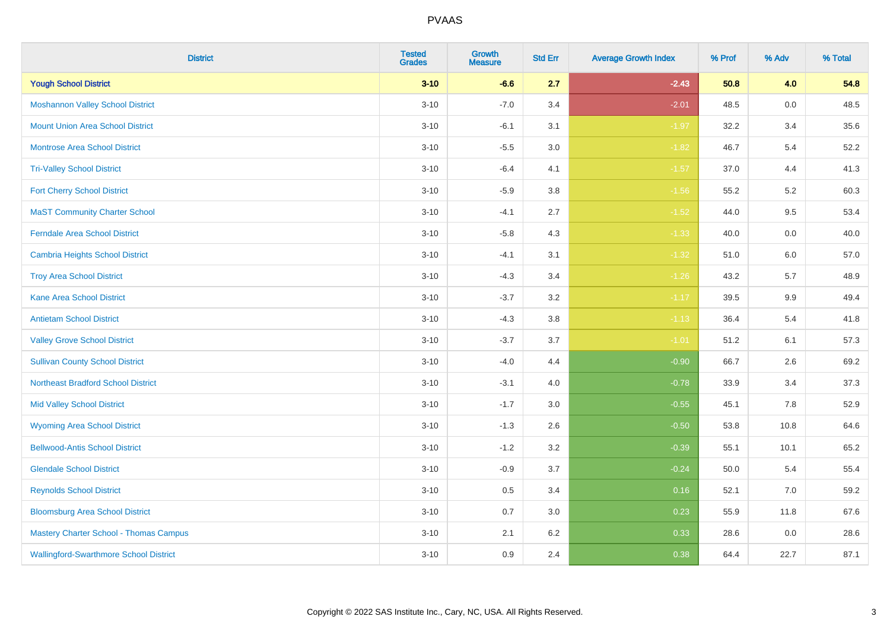| <b>District</b>                               | <b>Tested</b><br><b>Grades</b> | Growth<br><b>Measure</b> | <b>Std Err</b> | <b>Average Growth Index</b> | % Prof | % Adv   | % Total |
|-----------------------------------------------|--------------------------------|--------------------------|----------------|-----------------------------|--------|---------|---------|
| <b>Yough School District</b>                  | $3 - 10$                       | $-6.6$                   | 2.7            | $-2.43$                     | 50.8   | 4.0     | 54.8    |
| <b>Moshannon Valley School District</b>       | $3 - 10$                       | $-7.0$                   | 3.4            | $-2.01$                     | 48.5   | $0.0\,$ | 48.5    |
| <b>Mount Union Area School District</b>       | $3 - 10$                       | $-6.1$                   | 3.1            | $-1.97$                     | 32.2   | 3.4     | 35.6    |
| Montrose Area School District                 | $3 - 10$                       | $-5.5$                   | 3.0            | $-1.82$                     | 46.7   | $5.4$   | 52.2    |
| <b>Tri-Valley School District</b>             | $3 - 10$                       | $-6.4$                   | 4.1            | $-1.57$                     | 37.0   | 4.4     | 41.3    |
| <b>Fort Cherry School District</b>            | $3 - 10$                       | $-5.9$                   | 3.8            | $-1.56$                     | 55.2   | 5.2     | 60.3    |
| <b>MaST Community Charter School</b>          | $3 - 10$                       | $-4.1$                   | 2.7            | $-1.52$                     | 44.0   | 9.5     | 53.4    |
| <b>Ferndale Area School District</b>          | $3 - 10$                       | $-5.8$                   | 4.3            | $-1.33$                     | 40.0   | 0.0     | 40.0    |
| <b>Cambria Heights School District</b>        | $3 - 10$                       | $-4.1$                   | 3.1            | $-1.32$                     | 51.0   | 6.0     | 57.0    |
| <b>Troy Area School District</b>              | $3 - 10$                       | $-4.3$                   | 3.4            | $-1.26$                     | 43.2   | 5.7     | 48.9    |
| <b>Kane Area School District</b>              | $3 - 10$                       | $-3.7$                   | 3.2            | $-1.17$                     | 39.5   | 9.9     | 49.4    |
| <b>Antietam School District</b>               | $3 - 10$                       | $-4.3$                   | 3.8            | $-1.13$                     | 36.4   | 5.4     | 41.8    |
| <b>Valley Grove School District</b>           | $3 - 10$                       | $-3.7$                   | 3.7            | $-1.01$                     | 51.2   | 6.1     | 57.3    |
| <b>Sullivan County School District</b>        | $3 - 10$                       | $-4.0$                   | 4.4            | $-0.90$                     | 66.7   | 2.6     | 69.2    |
| <b>Northeast Bradford School District</b>     | $3 - 10$                       | $-3.1$                   | 4.0            | $-0.78$                     | 33.9   | 3.4     | 37.3    |
| <b>Mid Valley School District</b>             | $3 - 10$                       | $-1.7$                   | 3.0            | $-0.55$                     | 45.1   | 7.8     | 52.9    |
| <b>Wyoming Area School District</b>           | $3 - 10$                       | $-1.3$                   | 2.6            | $-0.50$                     | 53.8   | 10.8    | 64.6    |
| <b>Bellwood-Antis School District</b>         | $3 - 10$                       | $-1.2$                   | 3.2            | $-0.39$                     | 55.1   | 10.1    | 65.2    |
| <b>Glendale School District</b>               | $3 - 10$                       | $-0.9$                   | 3.7            | $-0.24$                     | 50.0   | 5.4     | 55.4    |
| <b>Reynolds School District</b>               | $3 - 10$                       | 0.5                      | 3.4            | 0.16                        | 52.1   | 7.0     | 59.2    |
| <b>Bloomsburg Area School District</b>        | $3 - 10$                       | 0.7                      | 3.0            | 0.23                        | 55.9   | 11.8    | 67.6    |
| <b>Mastery Charter School - Thomas Campus</b> | $3 - 10$                       | 2.1                      | 6.2            | 0.33                        | 28.6   | 0.0     | 28.6    |
| <b>Wallingford-Swarthmore School District</b> | $3 - 10$                       | 0.9                      | 2.4            | 0.38                        | 64.4   | 22.7    | 87.1    |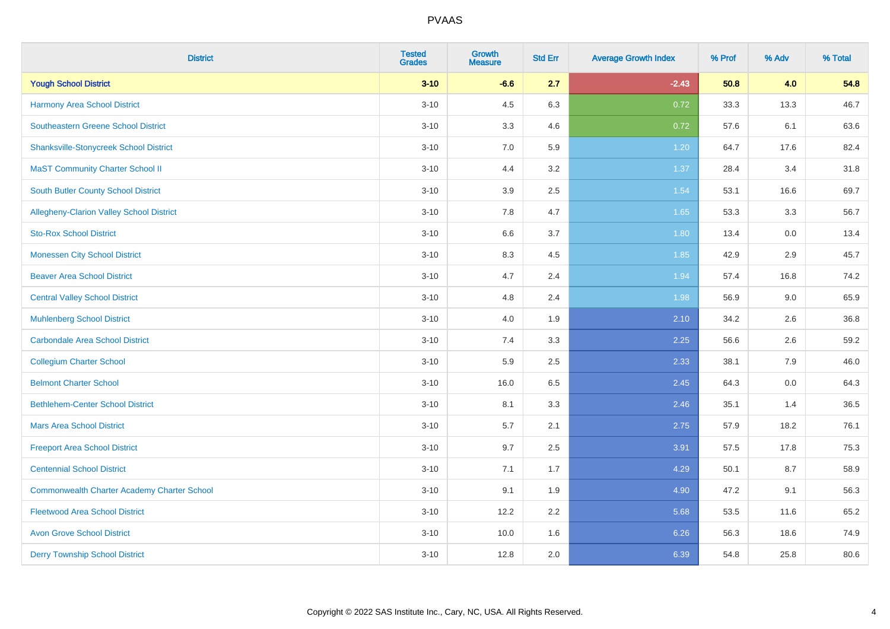| <b>District</b>                                    | <b>Tested</b><br><b>Grades</b> | <b>Growth</b><br><b>Measure</b> | <b>Std Err</b> | <b>Average Growth Index</b> | % Prof | % Adv | % Total |
|----------------------------------------------------|--------------------------------|---------------------------------|----------------|-----------------------------|--------|-------|---------|
| <b>Yough School District</b>                       | $3 - 10$                       | $-6.6$                          | 2.7            | $-2.43$                     | 50.8   | 4.0   | 54.8    |
| <b>Harmony Area School District</b>                | $3 - 10$                       | 4.5                             | 6.3            | 0.72                        | 33.3   | 13.3  | 46.7    |
| <b>Southeastern Greene School District</b>         | $3 - 10$                       | 3.3                             | 4.6            | 0.72                        | 57.6   | 6.1   | 63.6    |
| <b>Shanksville-Stonycreek School District</b>      | $3 - 10$                       | $7.0\,$                         | 5.9            | 1.20                        | 64.7   | 17.6  | 82.4    |
| <b>MaST Community Charter School II</b>            | $3 - 10$                       | 4.4                             | 3.2            | 1.37                        | 28.4   | 3.4   | 31.8    |
| <b>South Butler County School District</b>         | $3 - 10$                       | 3.9                             | 2.5            | 1.54                        | 53.1   | 16.6  | 69.7    |
| Allegheny-Clarion Valley School District           | $3 - 10$                       | 7.8                             | 4.7            | 1.65                        | 53.3   | 3.3   | 56.7    |
| <b>Sto-Rox School District</b>                     | $3 - 10$                       | 6.6                             | 3.7            | 1.80                        | 13.4   | 0.0   | 13.4    |
| <b>Monessen City School District</b>               | $3 - 10$                       | 8.3                             | 4.5            | 1.85                        | 42.9   | 2.9   | 45.7    |
| <b>Beaver Area School District</b>                 | $3 - 10$                       | 4.7                             | 2.4            | 1.94                        | 57.4   | 16.8  | 74.2    |
| <b>Central Valley School District</b>              | $3 - 10$                       | 4.8                             | 2.4            | 1.98                        | 56.9   | 9.0   | 65.9    |
| <b>Muhlenberg School District</b>                  | $3 - 10$                       | 4.0                             | 1.9            | 2.10                        | 34.2   | 2.6   | 36.8    |
| <b>Carbondale Area School District</b>             | $3 - 10$                       | 7.4                             | 3.3            | 2.25                        | 56.6   | 2.6   | 59.2    |
| <b>Collegium Charter School</b>                    | $3 - 10$                       | 5.9                             | 2.5            | 2.33                        | 38.1   | 7.9   | 46.0    |
| <b>Belmont Charter School</b>                      | $3 - 10$                       | 16.0                            | 6.5            | 2.45                        | 64.3   | 0.0   | 64.3    |
| <b>Bethlehem-Center School District</b>            | $3 - 10$                       | 8.1                             | 3.3            | 2.46                        | 35.1   | 1.4   | 36.5    |
| <b>Mars Area School District</b>                   | $3 - 10$                       | 5.7                             | 2.1            | 2.75                        | 57.9   | 18.2  | 76.1    |
| <b>Freeport Area School District</b>               | $3 - 10$                       | 9.7                             | 2.5            | 3.91                        | 57.5   | 17.8  | 75.3    |
| <b>Centennial School District</b>                  | $3 - 10$                       | 7.1                             | 1.7            | 4.29                        | 50.1   | 8.7   | 58.9    |
| <b>Commonwealth Charter Academy Charter School</b> | $3 - 10$                       | 9.1                             | 1.9            | 4.90                        | 47.2   | 9.1   | 56.3    |
| <b>Fleetwood Area School District</b>              | $3 - 10$                       | 12.2                            | 2.2            | 5.68                        | 53.5   | 11.6  | 65.2    |
| <b>Avon Grove School District</b>                  | $3 - 10$                       | 10.0                            | 1.6            | 6.26                        | 56.3   | 18.6  | 74.9    |
| <b>Derry Township School District</b>              | $3 - 10$                       | 12.8                            | 2.0            | 6.39                        | 54.8   | 25.8  | 80.6    |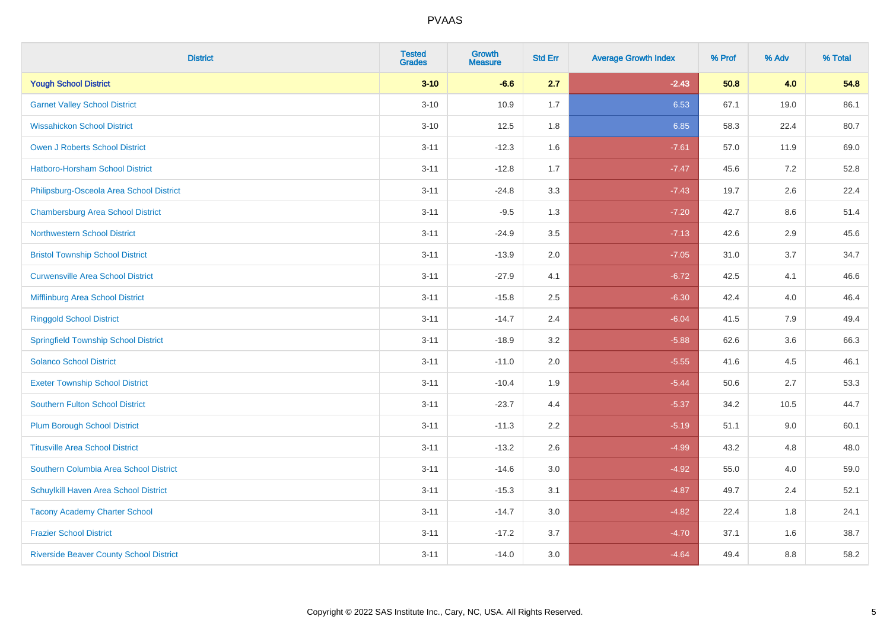| <b>District</b>                                | <b>Tested</b><br><b>Grades</b> | Growth<br><b>Measure</b> | <b>Std Err</b> | <b>Average Growth Index</b> | % Prof | % Adv   | % Total |
|------------------------------------------------|--------------------------------|--------------------------|----------------|-----------------------------|--------|---------|---------|
| <b>Yough School District</b>                   | $3 - 10$                       | $-6.6$                   | 2.7            | $-2.43$                     | 50.8   | 4.0     | 54.8    |
| <b>Garnet Valley School District</b>           | $3 - 10$                       | 10.9                     | 1.7            | 6.53                        | 67.1   | 19.0    | 86.1    |
| <b>Wissahickon School District</b>             | $3 - 10$                       | 12.5                     | 1.8            | 6.85                        | 58.3   | 22.4    | 80.7    |
| Owen J Roberts School District                 | $3 - 11$                       | $-12.3$                  | 1.6            | $-7.61$                     | 57.0   | 11.9    | 69.0    |
| <b>Hatboro-Horsham School District</b>         | $3 - 11$                       | $-12.8$                  | 1.7            | $-7.47$                     | 45.6   | 7.2     | 52.8    |
| Philipsburg-Osceola Area School District       | $3 - 11$                       | $-24.8$                  | 3.3            | $-7.43$                     | 19.7   | 2.6     | 22.4    |
| <b>Chambersburg Area School District</b>       | $3 - 11$                       | $-9.5$                   | 1.3            | $-7.20$                     | 42.7   | $8.6\,$ | 51.4    |
| <b>Northwestern School District</b>            | $3 - 11$                       | $-24.9$                  | 3.5            | $-7.13$                     | 42.6   | 2.9     | 45.6    |
| <b>Bristol Township School District</b>        | $3 - 11$                       | $-13.9$                  | 2.0            | $-7.05$                     | 31.0   | 3.7     | 34.7    |
| <b>Curwensville Area School District</b>       | $3 - 11$                       | $-27.9$                  | 4.1            | $-6.72$                     | 42.5   | 4.1     | 46.6    |
| Mifflinburg Area School District               | $3 - 11$                       | $-15.8$                  | 2.5            | $-6.30$                     | 42.4   | 4.0     | 46.4    |
| <b>Ringgold School District</b>                | $3 - 11$                       | $-14.7$                  | 2.4            | $-6.04$                     | 41.5   | 7.9     | 49.4    |
| <b>Springfield Township School District</b>    | $3 - 11$                       | $-18.9$                  | 3.2            | $-5.88$                     | 62.6   | 3.6     | 66.3    |
| <b>Solanco School District</b>                 | $3 - 11$                       | $-11.0$                  | 2.0            | $-5.55$                     | 41.6   | 4.5     | 46.1    |
| <b>Exeter Township School District</b>         | $3 - 11$                       | $-10.4$                  | 1.9            | $-5.44$                     | 50.6   | 2.7     | 53.3    |
| <b>Southern Fulton School District</b>         | $3 - 11$                       | $-23.7$                  | 4.4            | $-5.37$                     | 34.2   | 10.5    | 44.7    |
| <b>Plum Borough School District</b>            | $3 - 11$                       | $-11.3$                  | 2.2            | $-5.19$                     | 51.1   | 9.0     | 60.1    |
| <b>Titusville Area School District</b>         | $3 - 11$                       | $-13.2$                  | 2.6            | $-4.99$                     | 43.2   | 4.8     | 48.0    |
| Southern Columbia Area School District         | $3 - 11$                       | $-14.6$                  | 3.0            | $-4.92$                     | 55.0   | 4.0     | 59.0    |
| Schuylkill Haven Area School District          | $3 - 11$                       | $-15.3$                  | 3.1            | $-4.87$                     | 49.7   | 2.4     | 52.1    |
| <b>Tacony Academy Charter School</b>           | $3 - 11$                       | $-14.7$                  | 3.0            | $-4.82$                     | 22.4   | 1.8     | 24.1    |
| <b>Frazier School District</b>                 | $3 - 11$                       | $-17.2$                  | 3.7            | $-4.70$                     | 37.1   | 1.6     | 38.7    |
| <b>Riverside Beaver County School District</b> | $3 - 11$                       | $-14.0$                  | 3.0            | $-4.64$                     | 49.4   | 8.8     | 58.2    |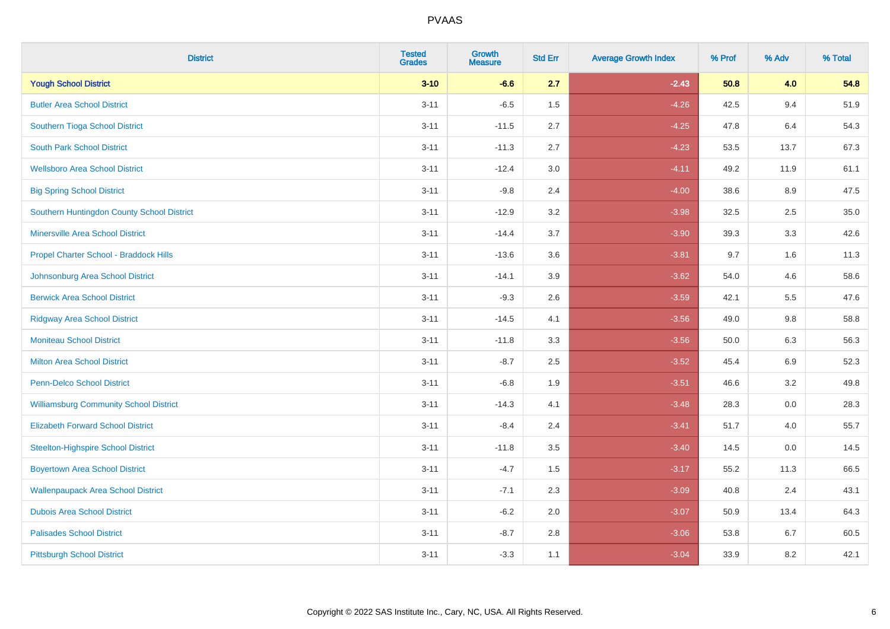| <b>District</b>                               | <b>Tested</b><br><b>Grades</b> | <b>Growth</b><br><b>Measure</b> | <b>Std Err</b> | <b>Average Growth Index</b> | % Prof | % Adv   | % Total |
|-----------------------------------------------|--------------------------------|---------------------------------|----------------|-----------------------------|--------|---------|---------|
| <b>Yough School District</b>                  | $3 - 10$                       | $-6.6$                          | 2.7            | $-2.43$                     | 50.8   | 4.0     | 54.8    |
| <b>Butler Area School District</b>            | $3 - 11$                       | $-6.5$                          | 1.5            | $-4.26$                     | 42.5   | 9.4     | 51.9    |
| Southern Tioga School District                | $3 - 11$                       | $-11.5$                         | 2.7            | $-4.25$                     | 47.8   | 6.4     | 54.3    |
| <b>South Park School District</b>             | $3 - 11$                       | $-11.3$                         | 2.7            | $-4.23$                     | 53.5   | 13.7    | 67.3    |
| <b>Wellsboro Area School District</b>         | $3 - 11$                       | $-12.4$                         | 3.0            | $-4.11$                     | 49.2   | 11.9    | 61.1    |
| <b>Big Spring School District</b>             | $3 - 11$                       | $-9.8$                          | 2.4            | $-4.00$                     | 38.6   | 8.9     | 47.5    |
| Southern Huntingdon County School District    | $3 - 11$                       | $-12.9$                         | 3.2            | $-3.98$                     | 32.5   | 2.5     | 35.0    |
| <b>Minersville Area School District</b>       | $3 - 11$                       | $-14.4$                         | 3.7            | $-3.90$                     | 39.3   | 3.3     | 42.6    |
| Propel Charter School - Braddock Hills        | $3 - 11$                       | $-13.6$                         | 3.6            | $-3.81$                     | 9.7    | 1.6     | 11.3    |
| Johnsonburg Area School District              | $3 - 11$                       | $-14.1$                         | 3.9            | $-3.62$                     | 54.0   | 4.6     | 58.6    |
| <b>Berwick Area School District</b>           | $3 - 11$                       | $-9.3$                          | 2.6            | $-3.59$                     | 42.1   | 5.5     | 47.6    |
| <b>Ridgway Area School District</b>           | $3 - 11$                       | $-14.5$                         | 4.1            | $-3.56$                     | 49.0   | $9.8\,$ | 58.8    |
| <b>Moniteau School District</b>               | $3 - 11$                       | $-11.8$                         | 3.3            | $-3.56$                     | 50.0   | 6.3     | 56.3    |
| <b>Milton Area School District</b>            | $3 - 11$                       | $-8.7$                          | 2.5            | $-3.52$                     | 45.4   | 6.9     | 52.3    |
| <b>Penn-Delco School District</b>             | $3 - 11$                       | $-6.8$                          | 1.9            | $-3.51$                     | 46.6   | 3.2     | 49.8    |
| <b>Williamsburg Community School District</b> | $3 - 11$                       | $-14.3$                         | 4.1            | $-3.48$                     | 28.3   | 0.0     | 28.3    |
| <b>Elizabeth Forward School District</b>      | $3 - 11$                       | $-8.4$                          | 2.4            | $-3.41$                     | 51.7   | 4.0     | 55.7    |
| <b>Steelton-Highspire School District</b>     | $3 - 11$                       | $-11.8$                         | 3.5            | $-3.40$                     | 14.5   | 0.0     | 14.5    |
| <b>Boyertown Area School District</b>         | $3 - 11$                       | $-4.7$                          | 1.5            | $-3.17$                     | 55.2   | 11.3    | 66.5    |
| <b>Wallenpaupack Area School District</b>     | $3 - 11$                       | $-7.1$                          | 2.3            | $-3.09$                     | 40.8   | 2.4     | 43.1    |
| <b>Dubois Area School District</b>            | $3 - 11$                       | $-6.2$                          | 2.0            | $-3.07$                     | 50.9   | 13.4    | 64.3    |
| <b>Palisades School District</b>              | $3 - 11$                       | $-8.7$                          | 2.8            | $-3.06$                     | 53.8   | 6.7     | 60.5    |
| <b>Pittsburgh School District</b>             | $3 - 11$                       | $-3.3$                          | 1.1            | $-3.04$                     | 33.9   | 8.2     | 42.1    |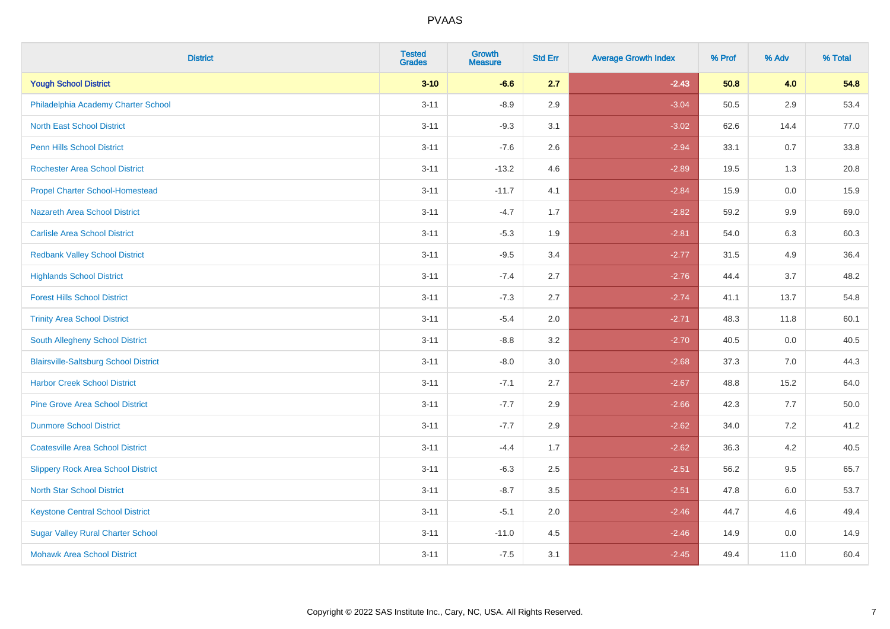| <b>District</b>                              | <b>Tested</b><br><b>Grades</b> | <b>Growth</b><br><b>Measure</b> | <b>Std Err</b> | <b>Average Growth Index</b> | % Prof | % Adv | % Total |
|----------------------------------------------|--------------------------------|---------------------------------|----------------|-----------------------------|--------|-------|---------|
| <b>Yough School District</b>                 | $3 - 10$                       | $-6.6$                          | 2.7            | $-2.43$                     | 50.8   | 4.0   | 54.8    |
| Philadelphia Academy Charter School          | $3 - 11$                       | $-8.9$                          | 2.9            | $-3.04$                     | 50.5   | 2.9   | 53.4    |
| <b>North East School District</b>            | $3 - 11$                       | $-9.3$                          | 3.1            | $-3.02$                     | 62.6   | 14.4  | 77.0    |
| <b>Penn Hills School District</b>            | $3 - 11$                       | $-7.6$                          | 2.6            | $-2.94$                     | 33.1   | 0.7   | 33.8    |
| <b>Rochester Area School District</b>        | $3 - 11$                       | $-13.2$                         | 4.6            | $-2.89$                     | 19.5   | 1.3   | 20.8    |
| <b>Propel Charter School-Homestead</b>       | $3 - 11$                       | $-11.7$                         | 4.1            | $-2.84$                     | 15.9   | 0.0   | 15.9    |
| Nazareth Area School District                | $3 - 11$                       | $-4.7$                          | 1.7            | $-2.82$                     | 59.2   | 9.9   | 69.0    |
| <b>Carlisle Area School District</b>         | $3 - 11$                       | $-5.3$                          | 1.9            | $-2.81$                     | 54.0   | 6.3   | 60.3    |
| <b>Redbank Valley School District</b>        | $3 - 11$                       | $-9.5$                          | 3.4            | $-2.77$                     | 31.5   | 4.9   | 36.4    |
| <b>Highlands School District</b>             | $3 - 11$                       | $-7.4$                          | 2.7            | $-2.76$                     | 44.4   | 3.7   | 48.2    |
| <b>Forest Hills School District</b>          | $3 - 11$                       | $-7.3$                          | 2.7            | $-2.74$                     | 41.1   | 13.7  | 54.8    |
| <b>Trinity Area School District</b>          | $3 - 11$                       | $-5.4$                          | 2.0            | $-2.71$                     | 48.3   | 11.8  | 60.1    |
| South Allegheny School District              | $3 - 11$                       | $-8.8$                          | 3.2            | $-2.70$                     | 40.5   | 0.0   | 40.5    |
| <b>Blairsville-Saltsburg School District</b> | $3 - 11$                       | $-8.0$                          | 3.0            | $-2.68$                     | 37.3   | 7.0   | 44.3    |
| <b>Harbor Creek School District</b>          | $3 - 11$                       | $-7.1$                          | 2.7            | $-2.67$                     | 48.8   | 15.2  | 64.0    |
| <b>Pine Grove Area School District</b>       | $3 - 11$                       | $-7.7$                          | 2.9            | $-2.66$                     | 42.3   | 7.7   | 50.0    |
| <b>Dunmore School District</b>               | $3 - 11$                       | $-7.7$                          | 2.9            | $-2.62$                     | 34.0   | 7.2   | 41.2    |
| <b>Coatesville Area School District</b>      | $3 - 11$                       | $-4.4$                          | 1.7            | $-2.62$                     | 36.3   | 4.2   | 40.5    |
| <b>Slippery Rock Area School District</b>    | $3 - 11$                       | $-6.3$                          | 2.5            | $-2.51$                     | 56.2   | 9.5   | 65.7    |
| <b>North Star School District</b>            | $3 - 11$                       | $-8.7$                          | 3.5            | $-2.51$                     | 47.8   | 6.0   | 53.7    |
| <b>Keystone Central School District</b>      | $3 - 11$                       | $-5.1$                          | 2.0            | $-2.46$                     | 44.7   | 4.6   | 49.4    |
| <b>Sugar Valley Rural Charter School</b>     | $3 - 11$                       | $-11.0$                         | 4.5            | $-2.46$                     | 14.9   | 0.0   | 14.9    |
| <b>Mohawk Area School District</b>           | $3 - 11$                       | $-7.5$                          | 3.1            | $-2.45$                     | 49.4   | 11.0  | 60.4    |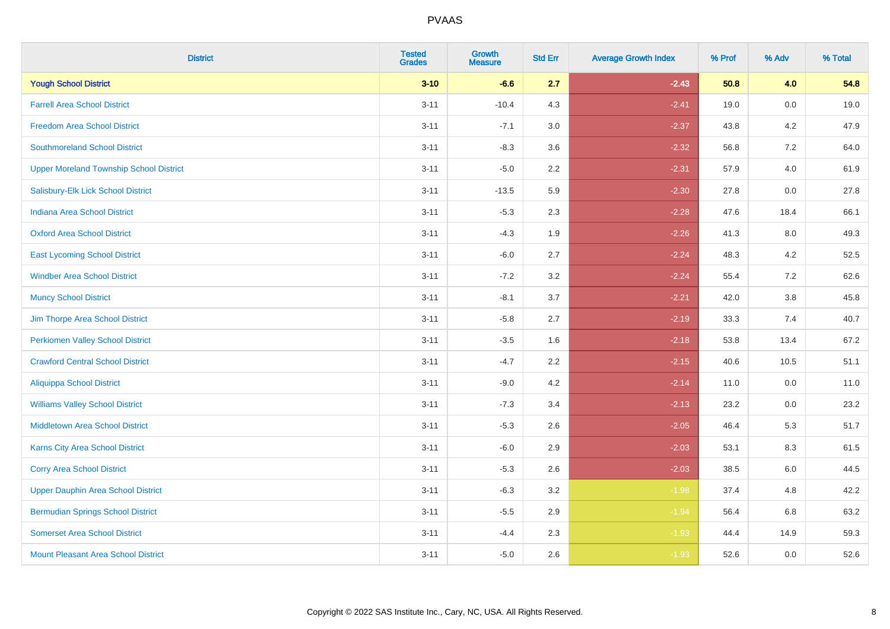| <b>District</b>                                | <b>Tested</b><br><b>Grades</b> | Growth<br><b>Measure</b> | <b>Std Err</b> | <b>Average Growth Index</b> | % Prof | % Adv   | % Total |
|------------------------------------------------|--------------------------------|--------------------------|----------------|-----------------------------|--------|---------|---------|
| <b>Yough School District</b>                   | $3 - 10$                       | $-6.6$                   | 2.7            | $-2.43$                     | 50.8   | 4.0     | 54.8    |
| <b>Farrell Area School District</b>            | $3 - 11$                       | $-10.4$                  | 4.3            | $-2.41$                     | 19.0   | 0.0     | 19.0    |
| <b>Freedom Area School District</b>            | $3 - 11$                       | $-7.1$                   | 3.0            | $-2.37$                     | 43.8   | 4.2     | 47.9    |
| <b>Southmoreland School District</b>           | $3 - 11$                       | $-8.3$                   | 3.6            | $-2.32$                     | 56.8   | $7.2\,$ | 64.0    |
| <b>Upper Moreland Township School District</b> | $3 - 11$                       | $-5.0$                   | 2.2            | $-2.31$                     | 57.9   | 4.0     | 61.9    |
| Salisbury-Elk Lick School District             | $3 - 11$                       | $-13.5$                  | 5.9            | $-2.30$                     | 27.8   | 0.0     | 27.8    |
| Indiana Area School District                   | $3 - 11$                       | $-5.3$                   | 2.3            | $-2.28$                     | 47.6   | 18.4    | 66.1    |
| <b>Oxford Area School District</b>             | $3 - 11$                       | $-4.3$                   | 1.9            | $-2.26$                     | 41.3   | 8.0     | 49.3    |
| <b>East Lycoming School District</b>           | $3 - 11$                       | $-6.0$                   | 2.7            | $-2.24$                     | 48.3   | 4.2     | 52.5    |
| <b>Windber Area School District</b>            | $3 - 11$                       | $-7.2$                   | 3.2            | $-2.24$                     | 55.4   | 7.2     | 62.6    |
| <b>Muncy School District</b>                   | $3 - 11$                       | $-8.1$                   | 3.7            | $-2.21$                     | 42.0   | 3.8     | 45.8    |
| Jim Thorpe Area School District                | $3 - 11$                       | $-5.8$                   | 2.7            | $-2.19$                     | 33.3   | 7.4     | 40.7    |
| <b>Perkiomen Valley School District</b>        | $3 - 11$                       | $-3.5$                   | 1.6            | $-2.18$                     | 53.8   | 13.4    | 67.2    |
| <b>Crawford Central School District</b>        | $3 - 11$                       | $-4.7$                   | 2.2            | $-2.15$                     | 40.6   | 10.5    | 51.1    |
| <b>Aliquippa School District</b>               | $3 - 11$                       | $-9.0$                   | 4.2            | $-2.14$                     | 11.0   | 0.0     | 11.0    |
| <b>Williams Valley School District</b>         | $3 - 11$                       | $-7.3$                   | 3.4            | $-2.13$                     | 23.2   | 0.0     | 23.2    |
| <b>Middletown Area School District</b>         | $3 - 11$                       | $-5.3$                   | 2.6            | $-2.05$                     | 46.4   | 5.3     | 51.7    |
| <b>Karns City Area School District</b>         | $3 - 11$                       | $-6.0$                   | 2.9            | $-2.03$                     | 53.1   | 8.3     | 61.5    |
| <b>Corry Area School District</b>              | $3 - 11$                       | $-5.3$                   | 2.6            | $-2.03$                     | 38.5   | 6.0     | 44.5    |
| <b>Upper Dauphin Area School District</b>      | $3 - 11$                       | $-6.3$                   | 3.2            | $-1.98$                     | 37.4   | 4.8     | 42.2    |
| <b>Bermudian Springs School District</b>       | $3 - 11$                       | $-5.5$                   | 2.9            | $-1.94$                     | 56.4   | 6.8     | 63.2    |
| <b>Somerset Area School District</b>           | $3 - 11$                       | $-4.4$                   | 2.3            | $-1.93$                     | 44.4   | 14.9    | 59.3    |
| <b>Mount Pleasant Area School District</b>     | $3 - 11$                       | $-5.0$                   | 2.6            | $-1.93$                     | 52.6   | 0.0     | 52.6    |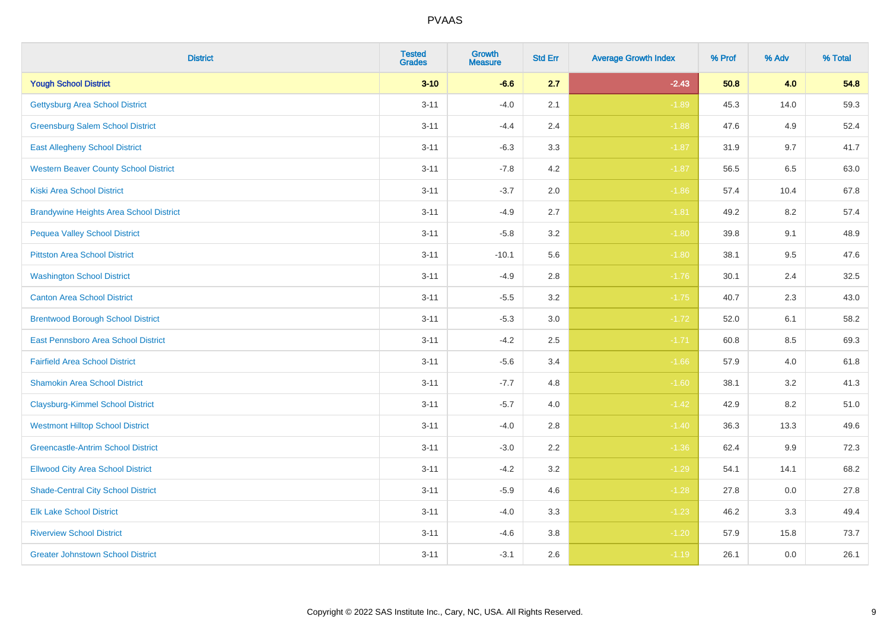| <b>District</b>                                | <b>Tested</b><br><b>Grades</b> | <b>Growth</b><br><b>Measure</b> | <b>Std Err</b> | <b>Average Growth Index</b> | % Prof | % Adv | % Total |
|------------------------------------------------|--------------------------------|---------------------------------|----------------|-----------------------------|--------|-------|---------|
| <b>Yough School District</b>                   | $3 - 10$                       | $-6.6$                          | 2.7            | $-2.43$                     | 50.8   | 4.0   | 54.8    |
| <b>Gettysburg Area School District</b>         | $3 - 11$                       | $-4.0$                          | 2.1            | $-1.89$                     | 45.3   | 14.0  | 59.3    |
| <b>Greensburg Salem School District</b>        | $3 - 11$                       | $-4.4$                          | 2.4            | $-1.88$                     | 47.6   | 4.9   | 52.4    |
| <b>East Allegheny School District</b>          | $3 - 11$                       | $-6.3$                          | 3.3            | $-1.87$                     | 31.9   | 9.7   | 41.7    |
| <b>Western Beaver County School District</b>   | $3 - 11$                       | $-7.8$                          | 4.2            | $-1.87$                     | 56.5   | 6.5   | 63.0    |
| <b>Kiski Area School District</b>              | $3 - 11$                       | $-3.7$                          | 2.0            | $-1.86$                     | 57.4   | 10.4  | 67.8    |
| <b>Brandywine Heights Area School District</b> | $3 - 11$                       | $-4.9$                          | 2.7            | $-1.81$                     | 49.2   | 8.2   | 57.4    |
| <b>Pequea Valley School District</b>           | $3 - 11$                       | $-5.8$                          | 3.2            | $-1.80$                     | 39.8   | 9.1   | 48.9    |
| <b>Pittston Area School District</b>           | $3 - 11$                       | $-10.1$                         | 5.6            | $-1.80$                     | 38.1   | 9.5   | 47.6    |
| <b>Washington School District</b>              | $3 - 11$                       | $-4.9$                          | 2.8            | $-1.76$                     | 30.1   | 2.4   | 32.5    |
| <b>Canton Area School District</b>             | $3 - 11$                       | $-5.5$                          | 3.2            | $-1.75$                     | 40.7   | 2.3   | 43.0    |
| <b>Brentwood Borough School District</b>       | $3 - 11$                       | $-5.3$                          | 3.0            | $-1.72$                     | 52.0   | 6.1   | 58.2    |
| East Pennsboro Area School District            | $3 - 11$                       | $-4.2$                          | 2.5            | $-1.71$                     | 60.8   | 8.5   | 69.3    |
| <b>Fairfield Area School District</b>          | $3 - 11$                       | $-5.6$                          | 3.4            | $-1.66$                     | 57.9   | 4.0   | 61.8    |
| <b>Shamokin Area School District</b>           | $3 - 11$                       | $-7.7$                          | 4.8            | $-1.60$                     | 38.1   | 3.2   | 41.3    |
| <b>Claysburg-Kimmel School District</b>        | $3 - 11$                       | $-5.7$                          | 4.0            | $-1.42$                     | 42.9   | 8.2   | 51.0    |
| <b>Westmont Hilltop School District</b>        | $3 - 11$                       | $-4.0$                          | 2.8            | $-1.40$                     | 36.3   | 13.3  | 49.6    |
| <b>Greencastle-Antrim School District</b>      | $3 - 11$                       | $-3.0$                          | 2.2            | $-1.36$                     | 62.4   | 9.9   | 72.3    |
| <b>Ellwood City Area School District</b>       | $3 - 11$                       | $-4.2$                          | 3.2            | $-1.29$                     | 54.1   | 14.1  | 68.2    |
| <b>Shade-Central City School District</b>      | $3 - 11$                       | $-5.9$                          | 4.6            | $-1.28$                     | 27.8   | 0.0   | 27.8    |
| <b>Elk Lake School District</b>                | $3 - 11$                       | $-4.0$                          | 3.3            | $-1.23$                     | 46.2   | 3.3   | 49.4    |
| <b>Riverview School District</b>               | $3 - 11$                       | $-4.6$                          | 3.8            | $-1.20$                     | 57.9   | 15.8  | 73.7    |
| <b>Greater Johnstown School District</b>       | $3 - 11$                       | $-3.1$                          | 2.6            | $-1.19$                     | 26.1   | 0.0   | 26.1    |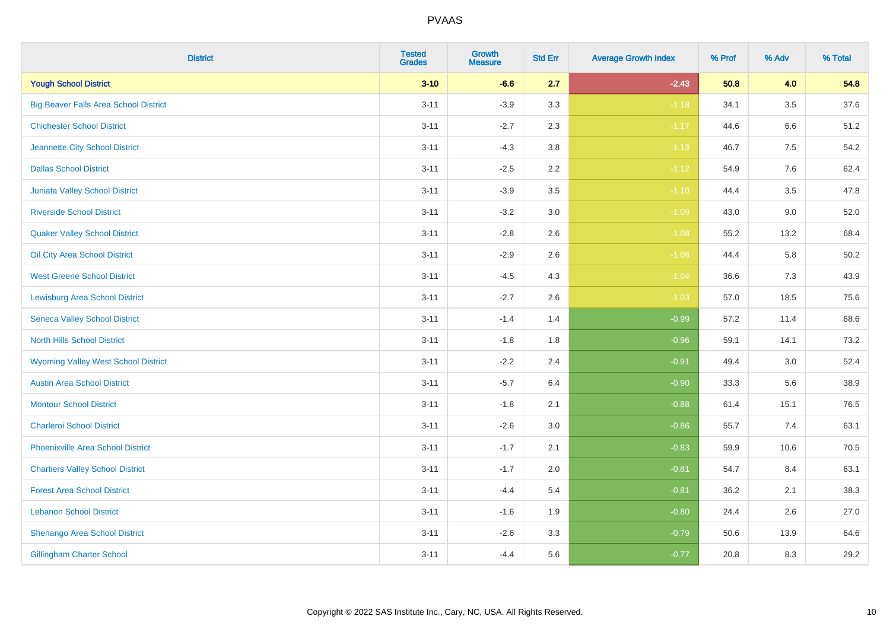| <b>District</b>                              | <b>Tested</b><br><b>Grades</b> | Growth<br><b>Measure</b> | <b>Std Err</b> | <b>Average Growth Index</b> | % Prof | % Adv   | % Total |
|----------------------------------------------|--------------------------------|--------------------------|----------------|-----------------------------|--------|---------|---------|
| <b>Yough School District</b>                 | $3 - 10$                       | $-6.6$                   | 2.7            | $-2.43$                     | 50.8   | 4.0     | 54.8    |
| <b>Big Beaver Falls Area School District</b> | $3 - 11$                       | $-3.9$                   | 3.3            | $-1.18$                     | 34.1   | $3.5\,$ | 37.6    |
| <b>Chichester School District</b>            | $3 - 11$                       | $-2.7$                   | 2.3            | $-1.17$                     | 44.6   | 6.6     | 51.2    |
| Jeannette City School District               | $3 - 11$                       | $-4.3$                   | 3.8            | $-1.13$                     | 46.7   | $7.5\,$ | 54.2    |
| <b>Dallas School District</b>                | $3 - 11$                       | $-2.5$                   | 2.2            | $-1.12$                     | 54.9   | 7.6     | 62.4    |
| <b>Juniata Valley School District</b>        | $3 - 11$                       | $-3.9$                   | 3.5            | $-1.10$                     | 44.4   | 3.5     | 47.8    |
| <b>Riverside School District</b>             | $3 - 11$                       | $-3.2$                   | 3.0            | $-1.09$                     | 43.0   | 9.0     | 52.0    |
| <b>Quaker Valley School District</b>         | $3 - 11$                       | $-2.8$                   | 2.6            | $-1.08$                     | 55.2   | 13.2    | 68.4    |
| Oil City Area School District                | $3 - 11$                       | $-2.9$                   | 2.6            | $-1.08$                     | 44.4   | 5.8     | 50.2    |
| <b>West Greene School District</b>           | $3 - 11$                       | $-4.5$                   | 4.3            | $-1.04$                     | 36.6   | 7.3     | 43.9    |
| <b>Lewisburg Area School District</b>        | $3 - 11$                       | $-2.7$                   | 2.6            | $-1.03$                     | 57.0   | 18.5    | 75.6    |
| <b>Seneca Valley School District</b>         | $3 - 11$                       | $-1.4$                   | 1.4            | $-0.99$                     | 57.2   | 11.4    | 68.6    |
| <b>North Hills School District</b>           | $3 - 11$                       | $-1.8$                   | 1.8            | $-0.96$                     | 59.1   | 14.1    | 73.2    |
| <b>Wyoming Valley West School District</b>   | $3 - 11$                       | $-2.2$                   | 2.4            | $-0.91$                     | 49.4   | $3.0\,$ | 52.4    |
| <b>Austin Area School District</b>           | $3 - 11$                       | $-5.7$                   | 6.4            | $-0.90$                     | 33.3   | 5.6     | 38.9    |
| <b>Montour School District</b>               | $3 - 11$                       | $-1.8$                   | 2.1            | $-0.88$                     | 61.4   | 15.1    | 76.5    |
| <b>Charleroi School District</b>             | $3 - 11$                       | $-2.6$                   | 3.0            | $-0.86$                     | 55.7   | 7.4     | 63.1    |
| <b>Phoenixville Area School District</b>     | $3 - 11$                       | $-1.7$                   | 2.1            | $-0.83$                     | 59.9   | 10.6    | 70.5    |
| <b>Chartiers Valley School District</b>      | $3 - 11$                       | $-1.7$                   | 2.0            | $-0.81$                     | 54.7   | 8.4     | 63.1    |
| <b>Forest Area School District</b>           | $3 - 11$                       | $-4.4$                   | 5.4            | $-0.81$                     | 36.2   | 2.1     | 38.3    |
| <b>Lebanon School District</b>               | $3 - 11$                       | $-1.6$                   | 1.9            | $-0.80$                     | 24.4   | 2.6     | 27.0    |
| Shenango Area School District                | $3 - 11$                       | $-2.6$                   | 3.3            | $-0.79$                     | 50.6   | 13.9    | 64.6    |
| <b>Gillingham Charter School</b>             | $3 - 11$                       | $-4.4$                   | 5.6            | $-0.77$                     | 20.8   | 8.3     | 29.2    |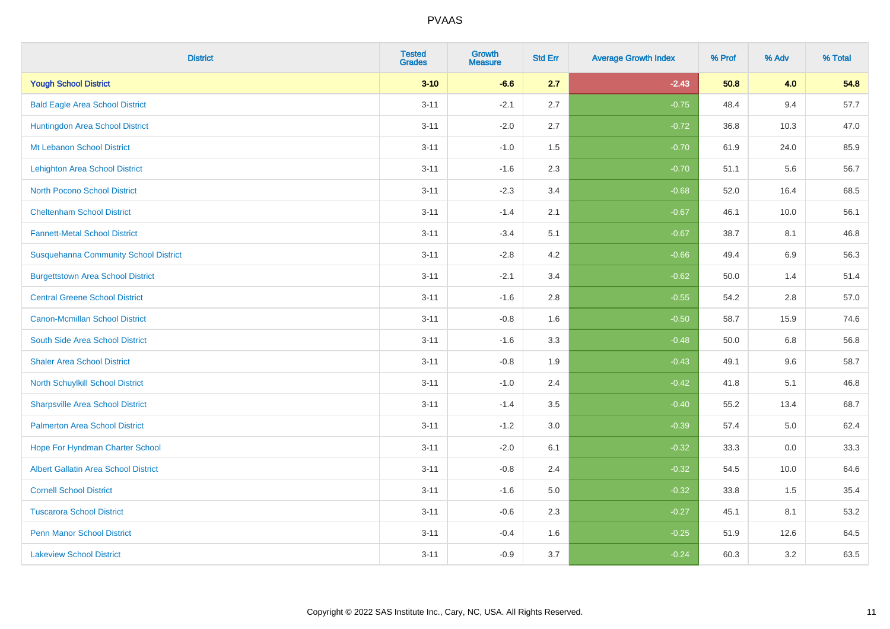| <b>District</b>                              | <b>Tested</b><br><b>Grades</b> | <b>Growth</b><br><b>Measure</b> | <b>Std Err</b> | <b>Average Growth Index</b> | % Prof | % Adv | % Total |
|----------------------------------------------|--------------------------------|---------------------------------|----------------|-----------------------------|--------|-------|---------|
| <b>Yough School District</b>                 | $3 - 10$                       | $-6.6$                          | 2.7            | $-2.43$                     | 50.8   | 4.0   | 54.8    |
| <b>Bald Eagle Area School District</b>       | $3 - 11$                       | $-2.1$                          | 2.7            | $-0.75$                     | 48.4   | 9.4   | 57.7    |
| Huntingdon Area School District              | $3 - 11$                       | $-2.0$                          | 2.7            | $-0.72$                     | 36.8   | 10.3  | 47.0    |
| Mt Lebanon School District                   | $3 - 11$                       | $-1.0$                          | 1.5            | $-0.70$                     | 61.9   | 24.0  | 85.9    |
| <b>Lehighton Area School District</b>        | $3 - 11$                       | $-1.6$                          | 2.3            | $-0.70$                     | 51.1   | 5.6   | 56.7    |
| <b>North Pocono School District</b>          | $3 - 11$                       | $-2.3$                          | 3.4            | $-0.68$                     | 52.0   | 16.4  | 68.5    |
| <b>Cheltenham School District</b>            | $3 - 11$                       | $-1.4$                          | 2.1            | $-0.67$                     | 46.1   | 10.0  | 56.1    |
| <b>Fannett-Metal School District</b>         | $3 - 11$                       | $-3.4$                          | 5.1            | $-0.67$                     | 38.7   | 8.1   | 46.8    |
| <b>Susquehanna Community School District</b> | $3 - 11$                       | $-2.8$                          | 4.2            | $-0.66$                     | 49.4   | 6.9   | 56.3    |
| <b>Burgettstown Area School District</b>     | $3 - 11$                       | $-2.1$                          | 3.4            | $-0.62$                     | 50.0   | 1.4   | 51.4    |
| <b>Central Greene School District</b>        | $3 - 11$                       | $-1.6$                          | 2.8            | $-0.55$                     | 54.2   | 2.8   | 57.0    |
| <b>Canon-Mcmillan School District</b>        | $3 - 11$                       | $-0.8$                          | 1.6            | $-0.50$                     | 58.7   | 15.9  | 74.6    |
| South Side Area School District              | $3 - 11$                       | $-1.6$                          | 3.3            | $-0.48$                     | 50.0   | 6.8   | 56.8    |
| <b>Shaler Area School District</b>           | $3 - 11$                       | $-0.8$                          | 1.9            | $-0.43$                     | 49.1   | 9.6   | 58.7    |
| North Schuylkill School District             | $3 - 11$                       | $-1.0$                          | 2.4            | $-0.42$                     | 41.8   | 5.1   | 46.8    |
| <b>Sharpsville Area School District</b>      | $3 - 11$                       | $-1.4$                          | 3.5            | $-0.40$                     | 55.2   | 13.4  | 68.7    |
| <b>Palmerton Area School District</b>        | $3 - 11$                       | $-1.2$                          | 3.0            | $-0.39$                     | 57.4   | 5.0   | 62.4    |
| Hope For Hyndman Charter School              | $3 - 11$                       | $-2.0$                          | 6.1            | $-0.32$                     | 33.3   | 0.0   | 33.3    |
| <b>Albert Gallatin Area School District</b>  | $3 - 11$                       | $-0.8$                          | 2.4            | $-0.32$                     | 54.5   | 10.0  | 64.6    |
| <b>Cornell School District</b>               | $3 - 11$                       | $-1.6$                          | $5.0\,$        | $-0.32$                     | 33.8   | 1.5   | 35.4    |
| <b>Tuscarora School District</b>             | $3 - 11$                       | $-0.6$                          | 2.3            | $-0.27$                     | 45.1   | 8.1   | 53.2    |
| <b>Penn Manor School District</b>            | $3 - 11$                       | $-0.4$                          | 1.6            | $-0.25$                     | 51.9   | 12.6  | 64.5    |
| <b>Lakeview School District</b>              | $3 - 11$                       | $-0.9$                          | 3.7            | $-0.24$                     | 60.3   | 3.2   | 63.5    |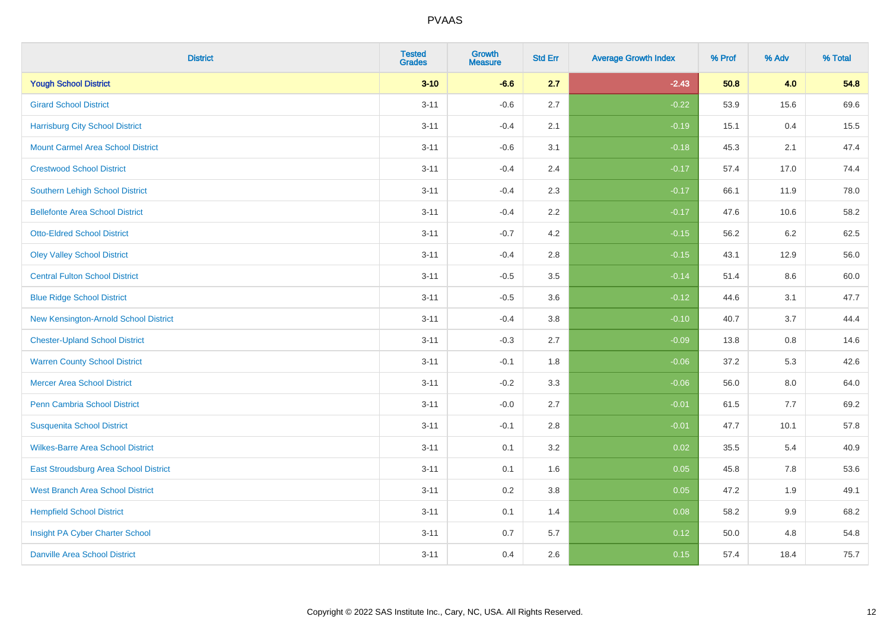| <b>District</b>                          | <b>Tested</b><br><b>Grades</b> | <b>Growth</b><br><b>Measure</b> | <b>Std Err</b> | <b>Average Growth Index</b> | % Prof | % Adv   | % Total |
|------------------------------------------|--------------------------------|---------------------------------|----------------|-----------------------------|--------|---------|---------|
| <b>Yough School District</b>             | $3 - 10$                       | $-6.6$                          | 2.7            | $-2.43$                     | 50.8   | 4.0     | 54.8    |
| <b>Girard School District</b>            | $3 - 11$                       | $-0.6$                          | 2.7            | $-0.22$                     | 53.9   | 15.6    | 69.6    |
| <b>Harrisburg City School District</b>   | $3 - 11$                       | $-0.4$                          | 2.1            | $-0.19$                     | 15.1   | 0.4     | 15.5    |
| <b>Mount Carmel Area School District</b> | $3 - 11$                       | $-0.6$                          | 3.1            | $-0.18$                     | 45.3   | 2.1     | 47.4    |
| <b>Crestwood School District</b>         | $3 - 11$                       | $-0.4$                          | 2.4            | $-0.17$                     | 57.4   | 17.0    | 74.4    |
| <b>Southern Lehigh School District</b>   | $3 - 11$                       | $-0.4$                          | 2.3            | $-0.17$                     | 66.1   | 11.9    | 78.0    |
| <b>Bellefonte Area School District</b>   | $3 - 11$                       | $-0.4$                          | 2.2            | $-0.17$                     | 47.6   | 10.6    | 58.2    |
| <b>Otto-Eldred School District</b>       | $3 - 11$                       | $-0.7$                          | 4.2            | $-0.15$                     | 56.2   | $6.2\,$ | 62.5    |
| <b>Oley Valley School District</b>       | $3 - 11$                       | $-0.4$                          | 2.8            | $-0.15$                     | 43.1   | 12.9    | 56.0    |
| <b>Central Fulton School District</b>    | $3 - 11$                       | $-0.5$                          | 3.5            | $-0.14$                     | 51.4   | 8.6     | 60.0    |
| <b>Blue Ridge School District</b>        | $3 - 11$                       | $-0.5$                          | 3.6            | $-0.12$                     | 44.6   | 3.1     | 47.7    |
| New Kensington-Arnold School District    | $3 - 11$                       | $-0.4$                          | 3.8            | $-0.10$                     | 40.7   | 3.7     | 44.4    |
| <b>Chester-Upland School District</b>    | $3 - 11$                       | $-0.3$                          | 2.7            | $-0.09$                     | 13.8   | 0.8     | 14.6    |
| <b>Warren County School District</b>     | $3 - 11$                       | $-0.1$                          | 1.8            | $-0.06$                     | 37.2   | 5.3     | 42.6    |
| <b>Mercer Area School District</b>       | $3 - 11$                       | $-0.2$                          | 3.3            | $-0.06$                     | 56.0   | $8.0\,$ | 64.0    |
| <b>Penn Cambria School District</b>      | $3 - 11$                       | $-0.0$                          | 2.7            | $-0.01$                     | 61.5   | 7.7     | 69.2    |
| <b>Susquenita School District</b>        | $3 - 11$                       | $-0.1$                          | 2.8            | $-0.01$                     | 47.7   | 10.1    | 57.8    |
| <b>Wilkes-Barre Area School District</b> | $3 - 11$                       | 0.1                             | 3.2            | 0.02                        | 35.5   | 5.4     | 40.9    |
| East Stroudsburg Area School District    | $3 - 11$                       | 0.1                             | 1.6            | 0.05                        | 45.8   | 7.8     | 53.6    |
| <b>West Branch Area School District</b>  | $3 - 11$                       | 0.2                             | 3.8            | 0.05                        | 47.2   | 1.9     | 49.1    |
| <b>Hempfield School District</b>         | $3 - 11$                       | 0.1                             | 1.4            | 0.08                        | 58.2   | 9.9     | 68.2    |
| Insight PA Cyber Charter School          | $3 - 11$                       | 0.7                             | 5.7            | 0.12                        | 50.0   | 4.8     | 54.8    |
| <b>Danville Area School District</b>     | $3 - 11$                       | 0.4                             | 2.6            | 0.15                        | 57.4   | 18.4    | 75.7    |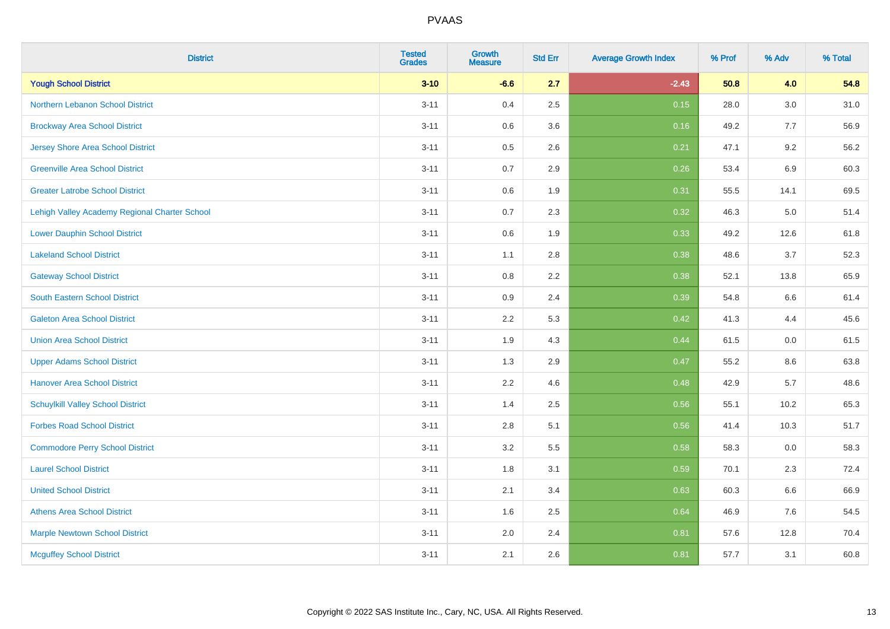| <b>District</b>                               | <b>Tested</b><br><b>Grades</b> | <b>Growth</b><br><b>Measure</b> | <b>Std Err</b> | <b>Average Growth Index</b> | % Prof | % Adv   | % Total |
|-----------------------------------------------|--------------------------------|---------------------------------|----------------|-----------------------------|--------|---------|---------|
| <b>Yough School District</b>                  | $3 - 10$                       | $-6.6$                          | 2.7            | $-2.43$                     | 50.8   | 4.0     | 54.8    |
| <b>Northern Lebanon School District</b>       | $3 - 11$                       | 0.4                             | 2.5            | 0.15                        | 28.0   | $3.0\,$ | 31.0    |
| <b>Brockway Area School District</b>          | $3 - 11$                       | 0.6                             | 3.6            | 0.16                        | 49.2   | 7.7     | 56.9    |
| <b>Jersey Shore Area School District</b>      | $3 - 11$                       | 0.5                             | 2.6            | 0.21                        | 47.1   | 9.2     | 56.2    |
| <b>Greenville Area School District</b>        | $3 - 11$                       | 0.7                             | 2.9            | 0.26                        | 53.4   | 6.9     | 60.3    |
| <b>Greater Latrobe School District</b>        | $3 - 11$                       | 0.6                             | 1.9            | 0.31                        | 55.5   | 14.1    | 69.5    |
| Lehigh Valley Academy Regional Charter School | $3 - 11$                       | 0.7                             | 2.3            | 0.32                        | 46.3   | 5.0     | 51.4    |
| <b>Lower Dauphin School District</b>          | $3 - 11$                       | 0.6                             | 1.9            | 0.33                        | 49.2   | 12.6    | 61.8    |
| <b>Lakeland School District</b>               | $3 - 11$                       | 1.1                             | 2.8            | 0.38                        | 48.6   | 3.7     | 52.3    |
| <b>Gateway School District</b>                | $3 - 11$                       | 0.8                             | 2.2            | 0.38                        | 52.1   | 13.8    | 65.9    |
| <b>South Eastern School District</b>          | $3 - 11$                       | 0.9                             | 2.4            | 0.39                        | 54.8   | 6.6     | 61.4    |
| <b>Galeton Area School District</b>           | $3 - 11$                       | 2.2                             | 5.3            | 0.42                        | 41.3   | 4.4     | 45.6    |
| <b>Union Area School District</b>             | $3 - 11$                       | 1.9                             | 4.3            | 0.44                        | 61.5   | 0.0     | 61.5    |
| <b>Upper Adams School District</b>            | $3 - 11$                       | 1.3                             | 2.9            | 0.47                        | 55.2   | 8.6     | 63.8    |
| <b>Hanover Area School District</b>           | $3 - 11$                       | 2.2                             | 4.6            | 0.48                        | 42.9   | 5.7     | 48.6    |
| <b>Schuylkill Valley School District</b>      | $3 - 11$                       | 1.4                             | 2.5            | 0.56                        | 55.1   | 10.2    | 65.3    |
| <b>Forbes Road School District</b>            | $3 - 11$                       | 2.8                             | 5.1            | 0.56                        | 41.4   | 10.3    | 51.7    |
| <b>Commodore Perry School District</b>        | $3 - 11$                       | 3.2                             | 5.5            | 0.58                        | 58.3   | 0.0     | 58.3    |
| <b>Laurel School District</b>                 | $3 - 11$                       | 1.8                             | 3.1            | 0.59                        | 70.1   | 2.3     | 72.4    |
| <b>United School District</b>                 | $3 - 11$                       | 2.1                             | 3.4            | 0.63                        | 60.3   | 6.6     | 66.9    |
| <b>Athens Area School District</b>            | $3 - 11$                       | 1.6                             | 2.5            | 0.64                        | 46.9   | 7.6     | 54.5    |
| <b>Marple Newtown School District</b>         | $3 - 11$                       | 2.0                             | 2.4            | 0.81                        | 57.6   | 12.8    | 70.4    |
| <b>Mcguffey School District</b>               | $3 - 11$                       | 2.1                             | 2.6            | 0.81                        | 57.7   | 3.1     | 60.8    |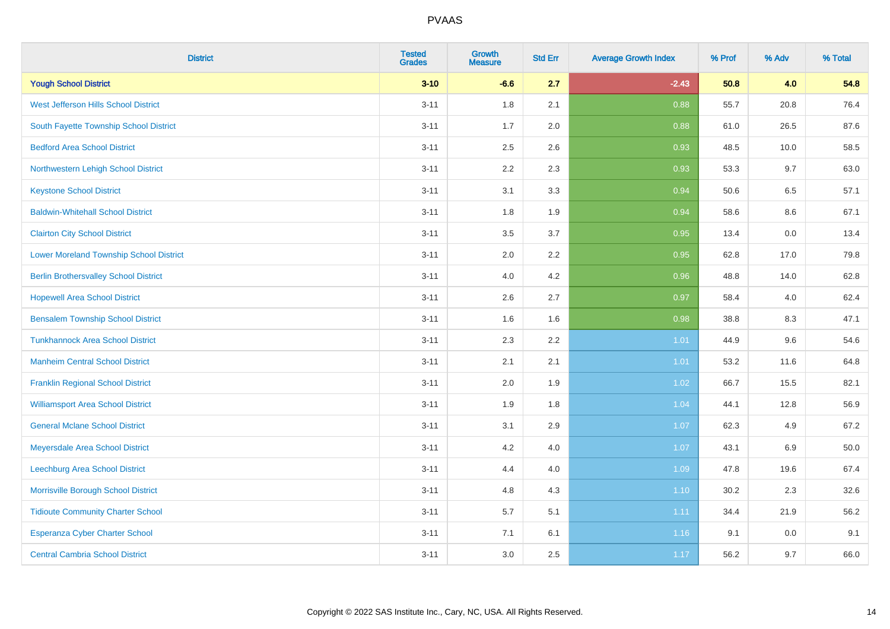| <b>District</b>                                | <b>Tested</b><br><b>Grades</b> | Growth<br><b>Measure</b> | <b>Std Err</b> | <b>Average Growth Index</b> | % Prof | % Adv   | % Total |
|------------------------------------------------|--------------------------------|--------------------------|----------------|-----------------------------|--------|---------|---------|
| <b>Yough School District</b>                   | $3 - 10$                       | $-6.6$                   | 2.7            | $-2.43$                     | 50.8   | 4.0     | 54.8    |
| West Jefferson Hills School District           | $3 - 11$                       | 1.8                      | 2.1            | 0.88                        | 55.7   | 20.8    | 76.4    |
| South Fayette Township School District         | $3 - 11$                       | 1.7                      | 2.0            | 0.88                        | 61.0   | 26.5    | 87.6    |
| <b>Bedford Area School District</b>            | $3 - 11$                       | 2.5                      | 2.6            | 0.93                        | 48.5   | 10.0    | 58.5    |
| Northwestern Lehigh School District            | $3 - 11$                       | 2.2                      | 2.3            | 0.93                        | 53.3   | 9.7     | 63.0    |
| <b>Keystone School District</b>                | $3 - 11$                       | 3.1                      | 3.3            | 0.94                        | 50.6   | 6.5     | 57.1    |
| <b>Baldwin-Whitehall School District</b>       | $3 - 11$                       | 1.8                      | 1.9            | 0.94                        | 58.6   | $8.6\,$ | 67.1    |
| <b>Clairton City School District</b>           | $3 - 11$                       | 3.5                      | 3.7            | 0.95                        | 13.4   | 0.0     | 13.4    |
| <b>Lower Moreland Township School District</b> | $3 - 11$                       | 2.0                      | 2.2            | 0.95                        | 62.8   | 17.0    | 79.8    |
| <b>Berlin Brothersvalley School District</b>   | $3 - 11$                       | 4.0                      | 4.2            | 0.96                        | 48.8   | 14.0    | 62.8    |
| <b>Hopewell Area School District</b>           | $3 - 11$                       | 2.6                      | 2.7            | 0.97                        | 58.4   | 4.0     | 62.4    |
| <b>Bensalem Township School District</b>       | $3 - 11$                       | 1.6                      | 1.6            | 0.98                        | 38.8   | 8.3     | 47.1    |
| <b>Tunkhannock Area School District</b>        | $3 - 11$                       | 2.3                      | 2.2            | 1.01                        | 44.9   | 9.6     | 54.6    |
| <b>Manheim Central School District</b>         | $3 - 11$                       | 2.1                      | 2.1            | 1.01                        | 53.2   | 11.6    | 64.8    |
| <b>Franklin Regional School District</b>       | $3 - 11$                       | 2.0                      | 1.9            | 1.02                        | 66.7   | 15.5    | 82.1    |
| <b>Williamsport Area School District</b>       | $3 - 11$                       | 1.9                      | 1.8            | 1.04                        | 44.1   | 12.8    | 56.9    |
| <b>General Mclane School District</b>          | $3 - 11$                       | 3.1                      | 2.9            | 1.07                        | 62.3   | 4.9     | 67.2    |
| Meyersdale Area School District                | $3 - 11$                       | 4.2                      | 4.0            | 1.07                        | 43.1   | $6.9\,$ | 50.0    |
| <b>Leechburg Area School District</b>          | $3 - 11$                       | 4.4                      | 4.0            | 1.09                        | 47.8   | 19.6    | 67.4    |
| Morrisville Borough School District            | $3 - 11$                       | 4.8                      | 4.3            | 1.10                        | 30.2   | 2.3     | 32.6    |
| <b>Tidioute Community Charter School</b>       | $3 - 11$                       | 5.7                      | 5.1            | 1.11                        | 34.4   | 21.9    | 56.2    |
| Esperanza Cyber Charter School                 | $3 - 11$                       | 7.1                      | 6.1            | 1.16                        | 9.1    | 0.0     | 9.1     |
| <b>Central Cambria School District</b>         | $3 - 11$                       | 3.0                      | 2.5            | 1.17                        | 56.2   | 9.7     | 66.0    |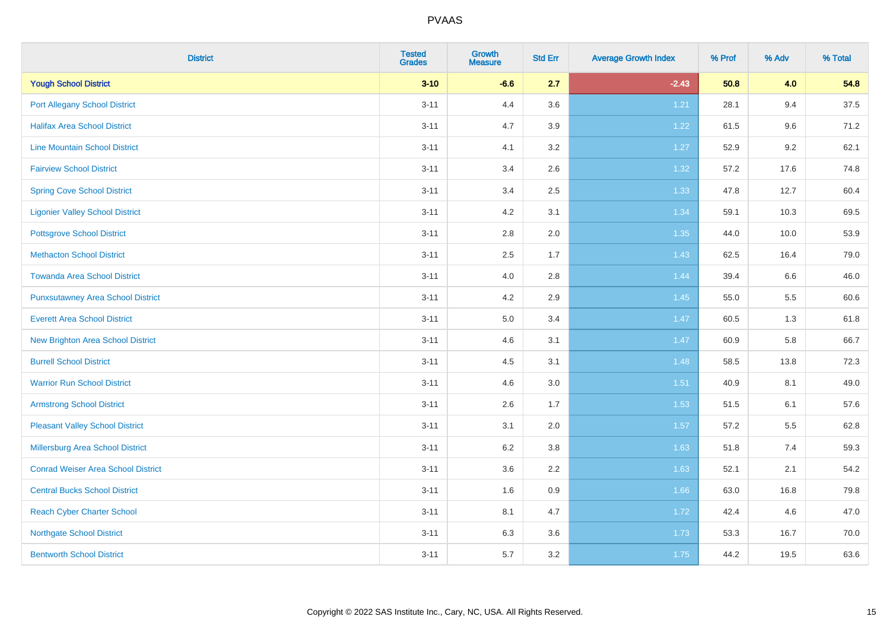| <b>District</b>                           | <b>Tested</b><br><b>Grades</b> | <b>Growth</b><br><b>Measure</b> | <b>Std Err</b> | <b>Average Growth Index</b> | % Prof | % Adv   | % Total |
|-------------------------------------------|--------------------------------|---------------------------------|----------------|-----------------------------|--------|---------|---------|
| <b>Yough School District</b>              | $3 - 10$                       | $-6.6$                          | 2.7            | $-2.43$                     | 50.8   | 4.0     | 54.8    |
| <b>Port Allegany School District</b>      | $3 - 11$                       | 4.4                             | 3.6            | 1.21                        | 28.1   | 9.4     | 37.5    |
| <b>Halifax Area School District</b>       | $3 - 11$                       | 4.7                             | 3.9            | 1.22                        | 61.5   | 9.6     | 71.2    |
| <b>Line Mountain School District</b>      | $3 - 11$                       | 4.1                             | 3.2            | 1.27                        | 52.9   | $9.2\,$ | 62.1    |
| <b>Fairview School District</b>           | $3 - 11$                       | 3.4                             | 2.6            | 1.32                        | 57.2   | 17.6    | 74.8    |
| <b>Spring Cove School District</b>        | $3 - 11$                       | 3.4                             | 2.5            | 1.33                        | 47.8   | 12.7    | 60.4    |
| <b>Ligonier Valley School District</b>    | $3 - 11$                       | 4.2                             | 3.1            | 1.34                        | 59.1   | 10.3    | 69.5    |
| <b>Pottsgrove School District</b>         | $3 - 11$                       | 2.8                             | 2.0            | 1.35                        | 44.0   | 10.0    | 53.9    |
| <b>Methacton School District</b>          | $3 - 11$                       | 2.5                             | 1.7            | 1.43                        | 62.5   | 16.4    | 79.0    |
| <b>Towanda Area School District</b>       | $3 - 11$                       | 4.0                             | 2.8            | 1.44                        | 39.4   | 6.6     | 46.0    |
| <b>Punxsutawney Area School District</b>  | $3 - 11$                       | 4.2                             | 2.9            | 1.45                        | 55.0   | 5.5     | 60.6    |
| <b>Everett Area School District</b>       | $3 - 11$                       | 5.0                             | 3.4            | 1.47                        | 60.5   | 1.3     | 61.8    |
| New Brighton Area School District         | $3 - 11$                       | 4.6                             | 3.1            | 1.47                        | 60.9   | 5.8     | 66.7    |
| <b>Burrell School District</b>            | $3 - 11$                       | 4.5                             | 3.1            | 1.48                        | 58.5   | 13.8    | 72.3    |
| <b>Warrior Run School District</b>        | $3 - 11$                       | 4.6                             | 3.0            | 1.51                        | 40.9   | 8.1     | 49.0    |
| <b>Armstrong School District</b>          | $3 - 11$                       | 2.6                             | 1.7            | 1.53                        | 51.5   | 6.1     | 57.6    |
| <b>Pleasant Valley School District</b>    | $3 - 11$                       | 3.1                             | 2.0            | 1.57                        | 57.2   | 5.5     | 62.8    |
| Millersburg Area School District          | $3 - 11$                       | 6.2                             | 3.8            | 1.63                        | 51.8   | 7.4     | 59.3    |
| <b>Conrad Weiser Area School District</b> | $3 - 11$                       | 3.6                             | 2.2            | 1.63                        | 52.1   | 2.1     | 54.2    |
| <b>Central Bucks School District</b>      | $3 - 11$                       | 1.6                             | 0.9            | 1.66                        | 63.0   | 16.8    | 79.8    |
| <b>Reach Cyber Charter School</b>         | $3 - 11$                       | 8.1                             | 4.7            | 1.72                        | 42.4   | 4.6     | 47.0    |
| <b>Northgate School District</b>          | $3 - 11$                       | 6.3                             | 3.6            | 1.73                        | 53.3   | 16.7    | 70.0    |
| <b>Bentworth School District</b>          | $3 - 11$                       | 5.7                             | 3.2            | 1.75                        | 44.2   | 19.5    | 63.6    |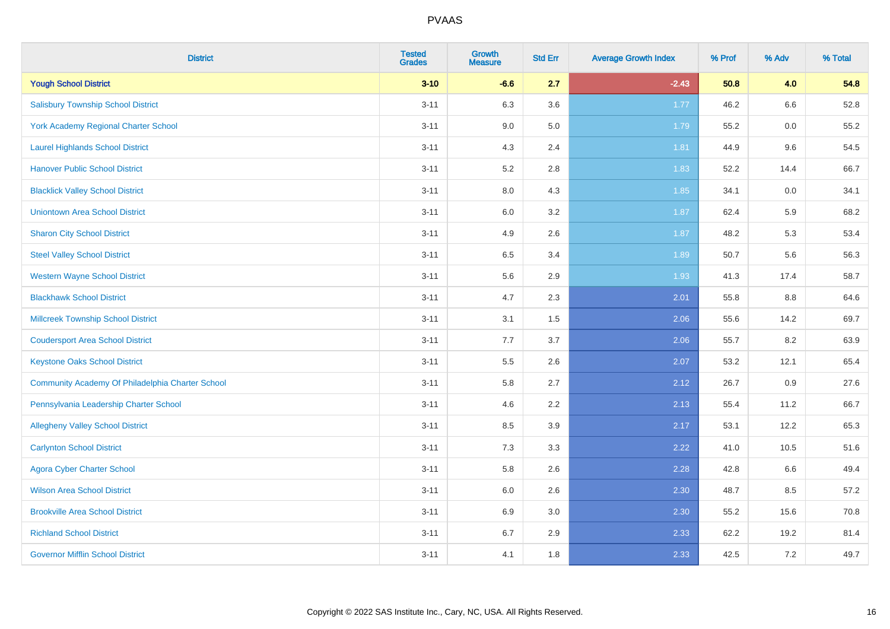| <b>District</b>                                  | <b>Tested</b><br><b>Grades</b> | <b>Growth</b><br><b>Measure</b> | <b>Std Err</b> | <b>Average Growth Index</b> | % Prof | % Adv | % Total |
|--------------------------------------------------|--------------------------------|---------------------------------|----------------|-----------------------------|--------|-------|---------|
| <b>Yough School District</b>                     | $3 - 10$                       | $-6.6$                          | 2.7            | $-2.43$                     | 50.8   | 4.0   | 54.8    |
| <b>Salisbury Township School District</b>        | $3 - 11$                       | 6.3                             | 3.6            | 1.77                        | 46.2   | 6.6   | 52.8    |
| York Academy Regional Charter School             | $3 - 11$                       | 9.0                             | 5.0            | 1.79                        | 55.2   | 0.0   | 55.2    |
| <b>Laurel Highlands School District</b>          | $3 - 11$                       | 4.3                             | 2.4            | 1.81                        | 44.9   | 9.6   | 54.5    |
| <b>Hanover Public School District</b>            | $3 - 11$                       | 5.2                             | 2.8            | 1.83                        | 52.2   | 14.4  | 66.7    |
| <b>Blacklick Valley School District</b>          | $3 - 11$                       | $8.0\,$                         | 4.3            | 1.85                        | 34.1   | 0.0   | 34.1    |
| <b>Uniontown Area School District</b>            | $3 - 11$                       | $6.0\,$                         | 3.2            | 1.87                        | 62.4   | 5.9   | 68.2    |
| <b>Sharon City School District</b>               | $3 - 11$                       | 4.9                             | 2.6            | 1.87                        | 48.2   | 5.3   | 53.4    |
| <b>Steel Valley School District</b>              | $3 - 11$                       | 6.5                             | 3.4            | 1.89                        | 50.7   | 5.6   | 56.3    |
| <b>Western Wayne School District</b>             | $3 - 11$                       | 5.6                             | 2.9            | 1.93                        | 41.3   | 17.4  | 58.7    |
| <b>Blackhawk School District</b>                 | $3 - 11$                       | 4.7                             | 2.3            | 2.01                        | 55.8   | 8.8   | 64.6    |
| Millcreek Township School District               | $3 - 11$                       | 3.1                             | 1.5            | 2.06                        | 55.6   | 14.2  | 69.7    |
| <b>Coudersport Area School District</b>          | $3 - 11$                       | 7.7                             | 3.7            | 2.06                        | 55.7   | 8.2   | 63.9    |
| <b>Keystone Oaks School District</b>             | $3 - 11$                       | $5.5\,$                         | 2.6            | 2.07                        | 53.2   | 12.1  | 65.4    |
| Community Academy Of Philadelphia Charter School | $3 - 11$                       | 5.8                             | 2.7            | 2.12                        | 26.7   | 0.9   | 27.6    |
| Pennsylvania Leadership Charter School           | $3 - 11$                       | 4.6                             | 2.2            | 2.13                        | 55.4   | 11.2  | 66.7    |
| <b>Allegheny Valley School District</b>          | $3 - 11$                       | 8.5                             | 3.9            | 2.17                        | 53.1   | 12.2  | 65.3    |
| <b>Carlynton School District</b>                 | $3 - 11$                       | 7.3                             | 3.3            | 2.22                        | 41.0   | 10.5  | 51.6    |
| <b>Agora Cyber Charter School</b>                | $3 - 11$                       | 5.8                             | 2.6            | 2.28                        | 42.8   | 6.6   | 49.4    |
| <b>Wilson Area School District</b>               | $3 - 11$                       | 6.0                             | 2.6            | 2.30                        | 48.7   | 8.5   | 57.2    |
| <b>Brookville Area School District</b>           | $3 - 11$                       | 6.9                             | 3.0            | 2.30                        | 55.2   | 15.6  | 70.8    |
| <b>Richland School District</b>                  | $3 - 11$                       | 6.7                             | 2.9            | 2.33                        | 62.2   | 19.2  | 81.4    |
| <b>Governor Mifflin School District</b>          | $3 - 11$                       | 4.1                             | 1.8            | 2.33                        | 42.5   | 7.2   | 49.7    |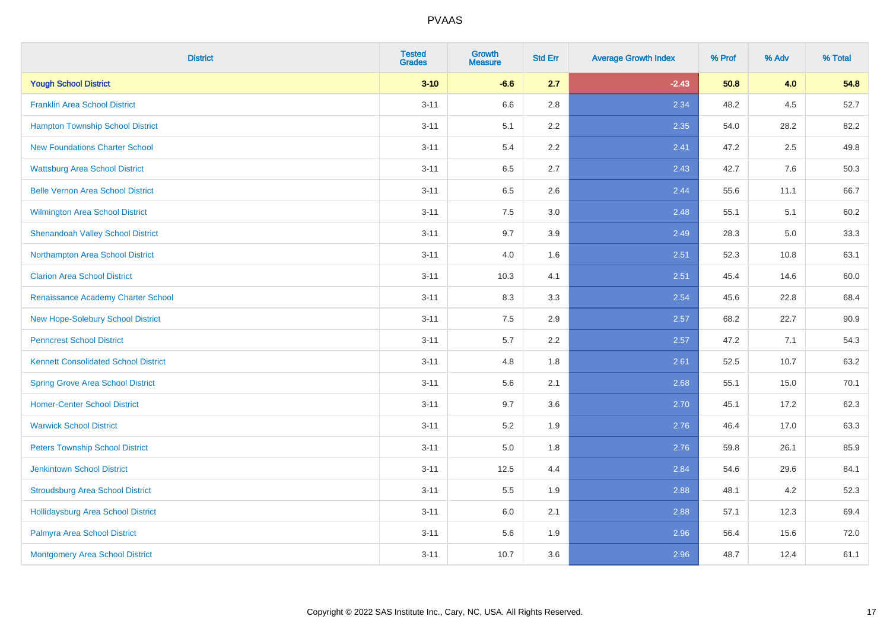| <b>District</b>                             | <b>Tested</b><br><b>Grades</b> | <b>Growth</b><br><b>Measure</b> | <b>Std Err</b> | <b>Average Growth Index</b> | % Prof | % Adv | % Total |
|---------------------------------------------|--------------------------------|---------------------------------|----------------|-----------------------------|--------|-------|---------|
| <b>Yough School District</b>                | $3 - 10$                       | $-6.6$                          | 2.7            | $-2.43$                     | 50.8   | 4.0   | 54.8    |
| <b>Franklin Area School District</b>        | $3 - 11$                       | 6.6                             | 2.8            | 2.34                        | 48.2   | 4.5   | 52.7    |
| <b>Hampton Township School District</b>     | $3 - 11$                       | 5.1                             | 2.2            | 2.35                        | 54.0   | 28.2  | 82.2    |
| <b>New Foundations Charter School</b>       | $3 - 11$                       | 5.4                             | 2.2            | 2.41                        | 47.2   | 2.5   | 49.8    |
| <b>Wattsburg Area School District</b>       | $3 - 11$                       | 6.5                             | 2.7            | 2.43                        | 42.7   | 7.6   | 50.3    |
| <b>Belle Vernon Area School District</b>    | $3 - 11$                       | 6.5                             | 2.6            | 2.44                        | 55.6   | 11.1  | 66.7    |
| Wilmington Area School District             | $3 - 11$                       | $7.5\,$                         | 3.0            | 2.48                        | 55.1   | 5.1   | 60.2    |
| <b>Shenandoah Valley School District</b>    | $3 - 11$                       | 9.7                             | 3.9            | 2.49                        | 28.3   | 5.0   | 33.3    |
| Northampton Area School District            | $3 - 11$                       | 4.0                             | 1.6            | 2.51                        | 52.3   | 10.8  | 63.1    |
| <b>Clarion Area School District</b>         | $3 - 11$                       | 10.3                            | 4.1            | 2.51                        | 45.4   | 14.6  | 60.0    |
| Renaissance Academy Charter School          | $3 - 11$                       | 8.3                             | 3.3            | 2.54                        | 45.6   | 22.8  | 68.4    |
| New Hope-Solebury School District           | $3 - 11$                       | 7.5                             | 2.9            | 2.57                        | 68.2   | 22.7  | 90.9    |
| <b>Penncrest School District</b>            | $3 - 11$                       | 5.7                             | 2.2            | 2.57                        | 47.2   | 7.1   | 54.3    |
| <b>Kennett Consolidated School District</b> | $3 - 11$                       | 4.8                             | 1.8            | 2.61                        | 52.5   | 10.7  | 63.2    |
| <b>Spring Grove Area School District</b>    | $3 - 11$                       | 5.6                             | 2.1            | 2.68                        | 55.1   | 15.0  | 70.1    |
| <b>Homer-Center School District</b>         | $3 - 11$                       | 9.7                             | 3.6            | 2.70                        | 45.1   | 17.2  | 62.3    |
| <b>Warwick School District</b>              | $3 - 11$                       | $5.2\,$                         | 1.9            | 2.76                        | 46.4   | 17.0  | 63.3    |
| <b>Peters Township School District</b>      | $3 - 11$                       | 5.0                             | 1.8            | 2.76                        | 59.8   | 26.1  | 85.9    |
| <b>Jenkintown School District</b>           | $3 - 11$                       | 12.5                            | 4.4            | 2.84                        | 54.6   | 29.6  | 84.1    |
| <b>Stroudsburg Area School District</b>     | $3 - 11$                       | 5.5                             | 1.9            | 2.88                        | 48.1   | 4.2   | 52.3    |
| <b>Hollidaysburg Area School District</b>   | $3 - 11$                       | 6.0                             | 2.1            | 2.88                        | 57.1   | 12.3  | 69.4    |
| Palmyra Area School District                | $3 - 11$                       | 5.6                             | 1.9            | 2.96                        | 56.4   | 15.6  | 72.0    |
| Montgomery Area School District             | $3 - 11$                       | 10.7                            | 3.6            | 2.96                        | 48.7   | 12.4  | 61.1    |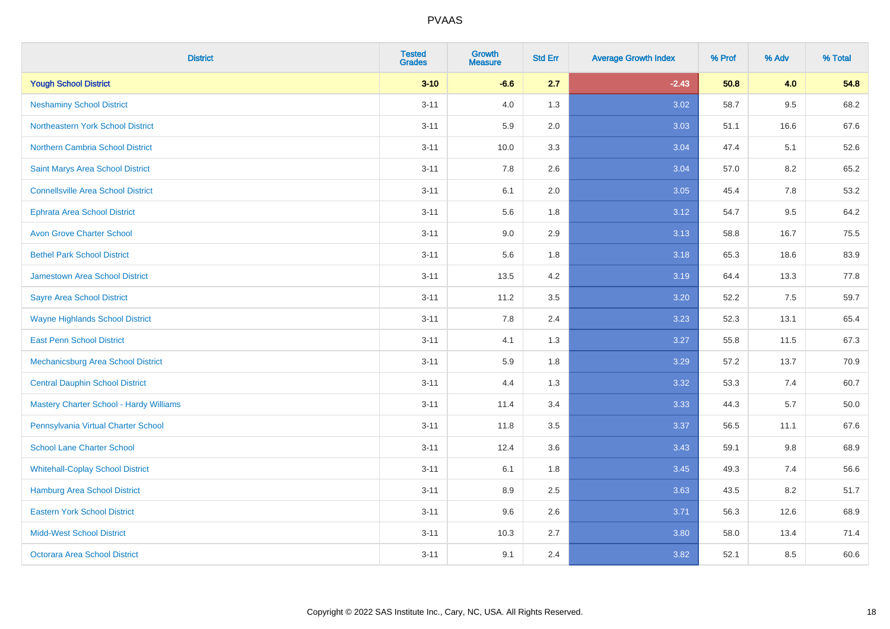| <b>District</b>                                | <b>Tested</b><br><b>Grades</b> | Growth<br><b>Measure</b> | <b>Std Err</b> | <b>Average Growth Index</b> | % Prof | % Adv | % Total |
|------------------------------------------------|--------------------------------|--------------------------|----------------|-----------------------------|--------|-------|---------|
| <b>Yough School District</b>                   | $3 - 10$                       | $-6.6$                   | 2.7            | $-2.43$                     | 50.8   | 4.0   | 54.8    |
| <b>Neshaminy School District</b>               | $3 - 11$                       | 4.0                      | 1.3            | 3.02                        | 58.7   | 9.5   | 68.2    |
| <b>Northeastern York School District</b>       | $3 - 11$                       | 5.9                      | 2.0            | 3.03                        | 51.1   | 16.6  | 67.6    |
| Northern Cambria School District               | $3 - 11$                       | 10.0                     | 3.3            | 3.04                        | 47.4   | 5.1   | 52.6    |
| Saint Marys Area School District               | $3 - 11$                       | 7.8                      | 2.6            | 3.04                        | 57.0   | 8.2   | 65.2    |
| <b>Connellsville Area School District</b>      | $3 - 11$                       | 6.1                      | 2.0            | 3.05                        | 45.4   | 7.8   | 53.2    |
| <b>Ephrata Area School District</b>            | $3 - 11$                       | 5.6                      | 1.8            | 3.12                        | 54.7   | 9.5   | 64.2    |
| <b>Avon Grove Charter School</b>               | $3 - 11$                       | 9.0                      | 2.9            | 3.13                        | 58.8   | 16.7  | 75.5    |
| <b>Bethel Park School District</b>             | $3 - 11$                       | 5.6                      | 1.8            | 3.18                        | 65.3   | 18.6  | 83.9    |
| <b>Jamestown Area School District</b>          | $3 - 11$                       | 13.5                     | 4.2            | 3.19                        | 64.4   | 13.3  | 77.8    |
| <b>Sayre Area School District</b>              | $3 - 11$                       | 11.2                     | 3.5            | 3.20                        | 52.2   | 7.5   | 59.7    |
| <b>Wayne Highlands School District</b>         | $3 - 11$                       | 7.8                      | 2.4            | 3.23                        | 52.3   | 13.1  | 65.4    |
| <b>East Penn School District</b>               | $3 - 11$                       | 4.1                      | 1.3            | 3.27                        | 55.8   | 11.5  | 67.3    |
| Mechanicsburg Area School District             | $3 - 11$                       | 5.9                      | 1.8            | 3.29                        | 57.2   | 13.7  | 70.9    |
| <b>Central Dauphin School District</b>         | $3 - 11$                       | 4.4                      | 1.3            | 3.32                        | 53.3   | 7.4   | 60.7    |
| <b>Mastery Charter School - Hardy Williams</b> | $3 - 11$                       | 11.4                     | 3.4            | 3.33                        | 44.3   | 5.7   | 50.0    |
| Pennsylvania Virtual Charter School            | $3 - 11$                       | 11.8                     | 3.5            | 3.37                        | 56.5   | 11.1  | 67.6    |
| <b>School Lane Charter School</b>              | $3 - 11$                       | 12.4                     | 3.6            | 3.43                        | 59.1   | 9.8   | 68.9    |
| <b>Whitehall-Coplay School District</b>        | $3 - 11$                       | 6.1                      | 1.8            | 3.45                        | 49.3   | 7.4   | 56.6    |
| Hamburg Area School District                   | $3 - 11$                       | 8.9                      | 2.5            | 3.63                        | 43.5   | 8.2   | 51.7    |
| <b>Eastern York School District</b>            | $3 - 11$                       | 9.6                      | 2.6            | 3.71                        | 56.3   | 12.6  | 68.9    |
| <b>Midd-West School District</b>               | $3 - 11$                       | 10.3                     | 2.7            | 3.80                        | 58.0   | 13.4  | 71.4    |
| <b>Octorara Area School District</b>           | $3 - 11$                       | 9.1                      | 2.4            | 3.82                        | 52.1   | 8.5   | 60.6    |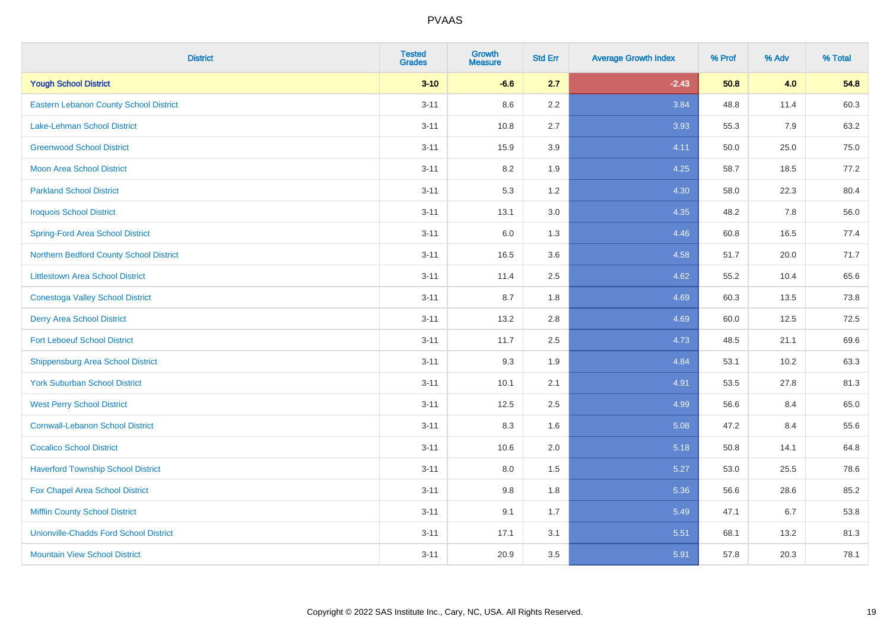| <b>District</b>                               | <b>Tested</b><br><b>Grades</b> | <b>Growth</b><br><b>Measure</b> | <b>Std Err</b> | <b>Average Growth Index</b> | % Prof | % Adv | % Total |
|-----------------------------------------------|--------------------------------|---------------------------------|----------------|-----------------------------|--------|-------|---------|
| <b>Yough School District</b>                  | $3 - 10$                       | $-6.6$                          | 2.7            | $-2.43$                     | 50.8   | 4.0   | 54.8    |
| <b>Eastern Lebanon County School District</b> | $3 - 11$                       | 8.6                             | $2.2\,$        | 3.84                        | 48.8   | 11.4  | 60.3    |
| <b>Lake-Lehman School District</b>            | $3 - 11$                       | 10.8                            | 2.7            | 3.93                        | 55.3   | 7.9   | 63.2    |
| <b>Greenwood School District</b>              | $3 - 11$                       | 15.9                            | 3.9            | 4.11                        | 50.0   | 25.0  | 75.0    |
| <b>Moon Area School District</b>              | $3 - 11$                       | 8.2                             | 1.9            | 4.25                        | 58.7   | 18.5  | 77.2    |
| <b>Parkland School District</b>               | $3 - 11$                       | 5.3                             | 1.2            | 4.30                        | 58.0   | 22.3  | 80.4    |
| <b>Iroquois School District</b>               | $3 - 11$                       | 13.1                            | 3.0            | 4.35                        | 48.2   | 7.8   | 56.0    |
| <b>Spring-Ford Area School District</b>       | $3 - 11$                       | 6.0                             | 1.3            | 4.46                        | 60.8   | 16.5  | 77.4    |
| Northern Bedford County School District       | $3 - 11$                       | 16.5                            | 3.6            | 4.58                        | 51.7   | 20.0  | 71.7    |
| <b>Littlestown Area School District</b>       | $3 - 11$                       | 11.4                            | 2.5            | 4.62                        | 55.2   | 10.4  | 65.6    |
| <b>Conestoga Valley School District</b>       | $3 - 11$                       | 8.7                             | 1.8            | 4.69                        | 60.3   | 13.5  | 73.8    |
| <b>Derry Area School District</b>             | $3 - 11$                       | 13.2                            | 2.8            | 4.69                        | 60.0   | 12.5  | 72.5    |
| <b>Fort Leboeuf School District</b>           | $3 - 11$                       | 11.7                            | 2.5            | 4.73                        | 48.5   | 21.1  | 69.6    |
| <b>Shippensburg Area School District</b>      | $3 - 11$                       | 9.3                             | 1.9            | 4.84                        | 53.1   | 10.2  | 63.3    |
| <b>York Suburban School District</b>          | $3 - 11$                       | 10.1                            | 2.1            | 4.91                        | 53.5   | 27.8  | 81.3    |
| <b>West Perry School District</b>             | $3 - 11$                       | 12.5                            | 2.5            | 4.99                        | 56.6   | 8.4   | 65.0    |
| <b>Cornwall-Lebanon School District</b>       | $3 - 11$                       | 8.3                             | 1.6            | 5.08                        | 47.2   | 8.4   | 55.6    |
| <b>Cocalico School District</b>               | $3 - 11$                       | 10.6                            | 2.0            | 5.18                        | 50.8   | 14.1  | 64.8    |
| <b>Haverford Township School District</b>     | $3 - 11$                       | 8.0                             | 1.5            | 5.27                        | 53.0   | 25.5  | 78.6    |
| Fox Chapel Area School District               | $3 - 11$                       | 9.8                             | 1.8            | 5.36                        | 56.6   | 28.6  | 85.2    |
| <b>Mifflin County School District</b>         | $3 - 11$                       | 9.1                             | 1.7            | 5.49                        | 47.1   | 6.7   | 53.8    |
| <b>Unionville-Chadds Ford School District</b> | $3 - 11$                       | 17.1                            | 3.1            | 5.51                        | 68.1   | 13.2  | 81.3    |
| <b>Mountain View School District</b>          | $3 - 11$                       | 20.9                            | 3.5            | 5.91                        | 57.8   | 20.3  | 78.1    |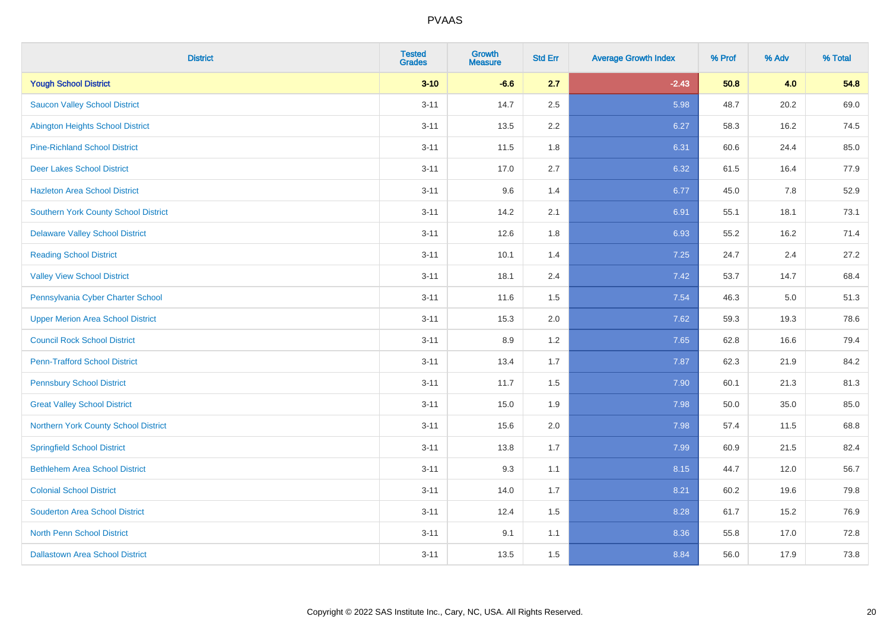| <b>District</b>                             | <b>Tested</b><br><b>Grades</b> | Growth<br><b>Measure</b> | <b>Std Err</b> | <b>Average Growth Index</b> | % Prof | % Adv | % Total |
|---------------------------------------------|--------------------------------|--------------------------|----------------|-----------------------------|--------|-------|---------|
| <b>Yough School District</b>                | $3 - 10$                       | $-6.6$                   | 2.7            | $-2.43$                     | 50.8   | 4.0   | 54.8    |
| <b>Saucon Valley School District</b>        | $3 - 11$                       | 14.7                     | 2.5            | 5.98                        | 48.7   | 20.2  | 69.0    |
| <b>Abington Heights School District</b>     | $3 - 11$                       | 13.5                     | 2.2            | 6.27                        | 58.3   | 16.2  | 74.5    |
| <b>Pine-Richland School District</b>        | $3 - 11$                       | 11.5                     | 1.8            | 6.31                        | 60.6   | 24.4  | 85.0    |
| <b>Deer Lakes School District</b>           | $3 - 11$                       | 17.0                     | 2.7            | 6.32                        | 61.5   | 16.4  | 77.9    |
| <b>Hazleton Area School District</b>        | $3 - 11$                       | 9.6                      | 1.4            | 6.77                        | 45.0   | 7.8   | 52.9    |
| <b>Southern York County School District</b> | $3 - 11$                       | 14.2                     | 2.1            | 6.91                        | 55.1   | 18.1  | 73.1    |
| <b>Delaware Valley School District</b>      | $3 - 11$                       | 12.6                     | 1.8            | 6.93                        | 55.2   | 16.2  | 71.4    |
| <b>Reading School District</b>              | $3 - 11$                       | 10.1                     | 1.4            | 7.25                        | 24.7   | 2.4   | 27.2    |
| <b>Valley View School District</b>          | $3 - 11$                       | 18.1                     | 2.4            | 7.42                        | 53.7   | 14.7  | 68.4    |
| Pennsylvania Cyber Charter School           | $3 - 11$                       | 11.6                     | 1.5            | 7.54                        | 46.3   | 5.0   | 51.3    |
| <b>Upper Merion Area School District</b>    | $3 - 11$                       | 15.3                     | 2.0            | 7.62                        | 59.3   | 19.3  | 78.6    |
| <b>Council Rock School District</b>         | $3 - 11$                       | 8.9                      | 1.2            | 7.65                        | 62.8   | 16.6  | 79.4    |
| <b>Penn-Trafford School District</b>        | $3 - 11$                       | 13.4                     | 1.7            | 7.87                        | 62.3   | 21.9  | 84.2    |
| <b>Pennsbury School District</b>            | $3 - 11$                       | 11.7                     | 1.5            | 7.90                        | 60.1   | 21.3  | 81.3    |
| <b>Great Valley School District</b>         | $3 - 11$                       | 15.0                     | 1.9            | 7.98                        | 50.0   | 35.0  | 85.0    |
| Northern York County School District        | $3 - 11$                       | 15.6                     | 2.0            | 7.98                        | 57.4   | 11.5  | 68.8    |
| <b>Springfield School District</b>          | $3 - 11$                       | 13.8                     | 1.7            | 7.99                        | 60.9   | 21.5  | 82.4    |
| <b>Bethlehem Area School District</b>       | $3 - 11$                       | 9.3                      | 1.1            | 8.15                        | 44.7   | 12.0  | 56.7    |
| <b>Colonial School District</b>             | $3 - 11$                       | 14.0                     | 1.7            | 8.21                        | 60.2   | 19.6  | 79.8    |
| <b>Souderton Area School District</b>       | $3 - 11$                       | 12.4                     | 1.5            | 8.28                        | 61.7   | 15.2  | 76.9    |
| <b>North Penn School District</b>           | $3 - 11$                       | 9.1                      | 1.1            | 8.36                        | 55.8   | 17.0  | 72.8    |
| <b>Dallastown Area School District</b>      | $3 - 11$                       | 13.5                     | 1.5            | 8.84                        | 56.0   | 17.9  | 73.8    |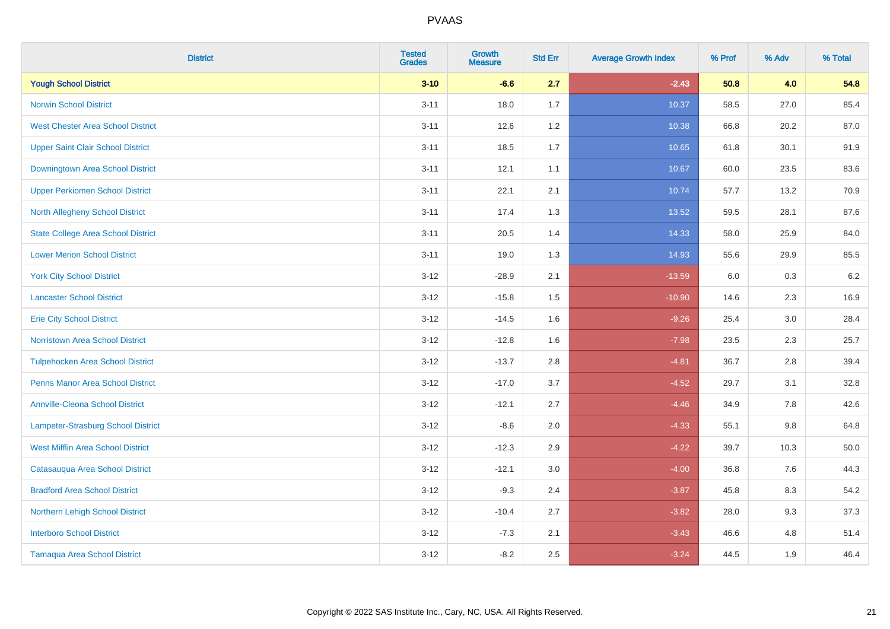| <b>District</b>                           | <b>Tested</b><br><b>Grades</b> | Growth<br><b>Measure</b> | <b>Std Err</b> | <b>Average Growth Index</b> | % Prof | % Adv   | % Total |
|-------------------------------------------|--------------------------------|--------------------------|----------------|-----------------------------|--------|---------|---------|
| <b>Yough School District</b>              | $3 - 10$                       | $-6.6$                   | 2.7            | $-2.43$                     | 50.8   | 4.0     | 54.8    |
| <b>Norwin School District</b>             | $3 - 11$                       | 18.0                     | 1.7            | 10.37                       | 58.5   | 27.0    | 85.4    |
| <b>West Chester Area School District</b>  | $3 - 11$                       | 12.6                     | 1.2            | 10.38                       | 66.8   | 20.2    | 87.0    |
| <b>Upper Saint Clair School District</b>  | $3 - 11$                       | 18.5                     | 1.7            | 10.65                       | 61.8   | 30.1    | 91.9    |
| Downingtown Area School District          | $3 - 11$                       | 12.1                     | 1.1            | 10.67                       | 60.0   | 23.5    | 83.6    |
| <b>Upper Perkiomen School District</b>    | $3 - 11$                       | 22.1                     | 2.1            | 10.74                       | 57.7   | 13.2    | 70.9    |
| <b>North Allegheny School District</b>    | $3 - 11$                       | 17.4                     | 1.3            | 13.52                       | 59.5   | 28.1    | 87.6    |
| <b>State College Area School District</b> | $3 - 11$                       | 20.5                     | 1.4            | 14.33                       | 58.0   | 25.9    | 84.0    |
| <b>Lower Merion School District</b>       | $3 - 11$                       | 19.0                     | 1.3            | 14.93                       | 55.6   | 29.9    | 85.5    |
| <b>York City School District</b>          | $3 - 12$                       | $-28.9$                  | 2.1            | $-13.59$                    | 6.0    | 0.3     | 6.2     |
| <b>Lancaster School District</b>          | $3-12$                         | $-15.8$                  | 1.5            | $-10.90$                    | 14.6   | 2.3     | 16.9    |
| <b>Erie City School District</b>          | $3 - 12$                       | $-14.5$                  | 1.6            | $-9.26$                     | 25.4   | 3.0     | 28.4    |
| <b>Norristown Area School District</b>    | $3 - 12$                       | $-12.8$                  | 1.6            | $-7.98$                     | 23.5   | $2.3\,$ | 25.7    |
| <b>Tulpehocken Area School District</b>   | $3 - 12$                       | $-13.7$                  | 2.8            | $-4.81$                     | 36.7   | 2.8     | 39.4    |
| <b>Penns Manor Area School District</b>   | $3 - 12$                       | $-17.0$                  | 3.7            | $-4.52$                     | 29.7   | 3.1     | 32.8    |
| <b>Annville-Cleona School District</b>    | $3-12$                         | $-12.1$                  | 2.7            | $-4.46$                     | 34.9   | $7.8\,$ | 42.6    |
| Lampeter-Strasburg School District        | $3 - 12$                       | $-8.6$                   | 2.0            | $-4.33$                     | 55.1   | 9.8     | 64.8    |
| <b>West Mifflin Area School District</b>  | $3 - 12$                       | $-12.3$                  | 2.9            | $-4.22$                     | 39.7   | 10.3    | 50.0    |
| Catasauqua Area School District           | $3 - 12$                       | $-12.1$                  | 3.0            | $-4.00$                     | 36.8   | 7.6     | 44.3    |
| <b>Bradford Area School District</b>      | $3 - 12$                       | $-9.3$                   | 2.4            | $-3.87$                     | 45.8   | 8.3     | 54.2    |
| Northern Lehigh School District           | $3 - 12$                       | $-10.4$                  | 2.7            | $-3.82$                     | 28.0   | 9.3     | 37.3    |
| <b>Interboro School District</b>          | $3 - 12$                       | $-7.3$                   | 2.1            | $-3.43$                     | 46.6   | 4.8     | 51.4    |
| <b>Tamaqua Area School District</b>       | $3 - 12$                       | $-8.2$                   | 2.5            | $-3.24$                     | 44.5   | 1.9     | 46.4    |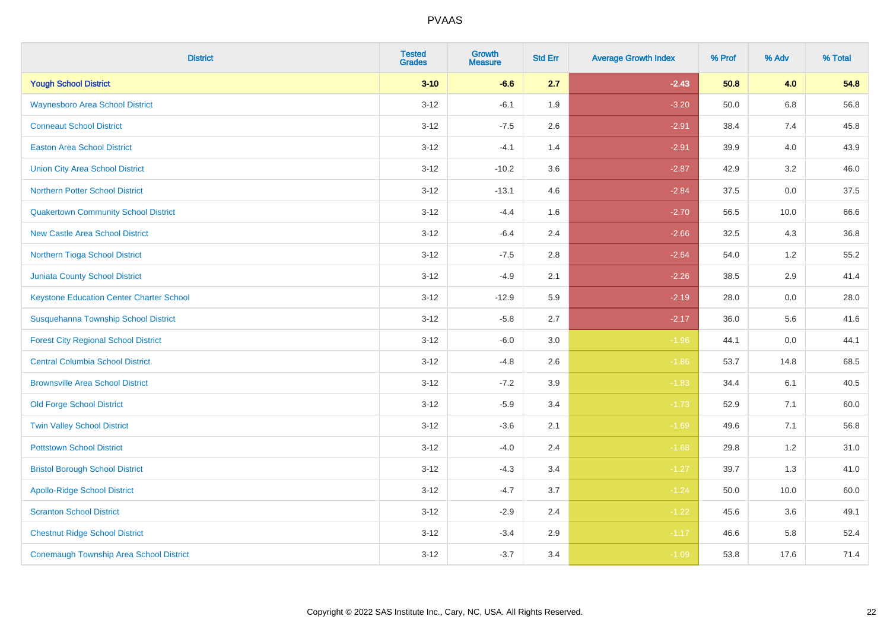| <b>District</b>                                 | <b>Tested</b><br><b>Grades</b> | <b>Growth</b><br><b>Measure</b> | <b>Std Err</b> | <b>Average Growth Index</b> | % Prof | % Adv   | % Total |
|-------------------------------------------------|--------------------------------|---------------------------------|----------------|-----------------------------|--------|---------|---------|
| <b>Yough School District</b>                    | $3 - 10$                       | $-6.6$                          | 2.7            | $-2.43$                     | 50.8   | 4.0     | 54.8    |
| <b>Waynesboro Area School District</b>          | $3 - 12$                       | $-6.1$                          | 1.9            | $-3.20$                     | 50.0   | $6.8\,$ | 56.8    |
| <b>Conneaut School District</b>                 | $3 - 12$                       | $-7.5$                          | 2.6            | $-2.91$                     | 38.4   | 7.4     | 45.8    |
| <b>Easton Area School District</b>              | $3 - 12$                       | $-4.1$                          | 1.4            | $-2.91$                     | 39.9   | 4.0     | 43.9    |
| <b>Union City Area School District</b>          | $3-12$                         | $-10.2$                         | 3.6            | $-2.87$                     | 42.9   | 3.2     | 46.0    |
| <b>Northern Potter School District</b>          | $3 - 12$                       | $-13.1$                         | 4.6            | $-2.84$                     | 37.5   | 0.0     | 37.5    |
| <b>Quakertown Community School District</b>     | $3-12$                         | $-4.4$                          | 1.6            | $-2.70$                     | 56.5   | 10.0    | 66.6    |
| <b>New Castle Area School District</b>          | $3 - 12$                       | $-6.4$                          | 2.4            | $-2.66$                     | 32.5   | 4.3     | 36.8    |
| Northern Tioga School District                  | $3 - 12$                       | $-7.5$                          | 2.8            | $-2.64$                     | 54.0   | 1.2     | 55.2    |
| <b>Juniata County School District</b>           | $3 - 12$                       | $-4.9$                          | 2.1            | $-2.26$                     | 38.5   | 2.9     | 41.4    |
| <b>Keystone Education Center Charter School</b> | $3 - 12$                       | $-12.9$                         | 5.9            | $-2.19$                     | 28.0   | 0.0     | 28.0    |
| Susquehanna Township School District            | $3 - 12$                       | $-5.8$                          | 2.7            | $-2.17$                     | 36.0   | 5.6     | 41.6    |
| <b>Forest City Regional School District</b>     | $3 - 12$                       | $-6.0$                          | $3.0\,$        | $-1.96$                     | 44.1   | $0.0\,$ | 44.1    |
| <b>Central Columbia School District</b>         | $3-12$                         | $-4.8$                          | 2.6            | $-1.86$                     | 53.7   | 14.8    | 68.5    |
| <b>Brownsville Area School District</b>         | $3 - 12$                       | $-7.2$                          | 3.9            | $-1.83$                     | 34.4   | 6.1     | 40.5    |
| <b>Old Forge School District</b>                | $3-12$                         | $-5.9$                          | 3.4            | $-1.73$                     | 52.9   | 7.1     | 60.0    |
| <b>Twin Valley School District</b>              | $3-12$                         | $-3.6$                          | 2.1            | $-1.69$                     | 49.6   | 7.1     | 56.8    |
| <b>Pottstown School District</b>                | $3 - 12$                       | $-4.0$                          | 2.4            | $-1.68$                     | 29.8   | 1.2     | 31.0    |
| <b>Bristol Borough School District</b>          | $3 - 12$                       | $-4.3$                          | 3.4            | $-1.27$                     | 39.7   | 1.3     | 41.0    |
| <b>Apollo-Ridge School District</b>             | $3 - 12$                       | $-4.7$                          | 3.7            | $-1.24$                     | 50.0   | 10.0    | 60.0    |
| <b>Scranton School District</b>                 | $3-12$                         | $-2.9$                          | 2.4            | $-1.22$                     | 45.6   | 3.6     | 49.1    |
| <b>Chestnut Ridge School District</b>           | $3 - 12$                       | $-3.4$                          | 2.9            | $-1.17$                     | 46.6   | 5.8     | 52.4    |
| <b>Conemaugh Township Area School District</b>  | $3 - 12$                       | $-3.7$                          | 3.4            | $-1.09$                     | 53.8   | 17.6    | 71.4    |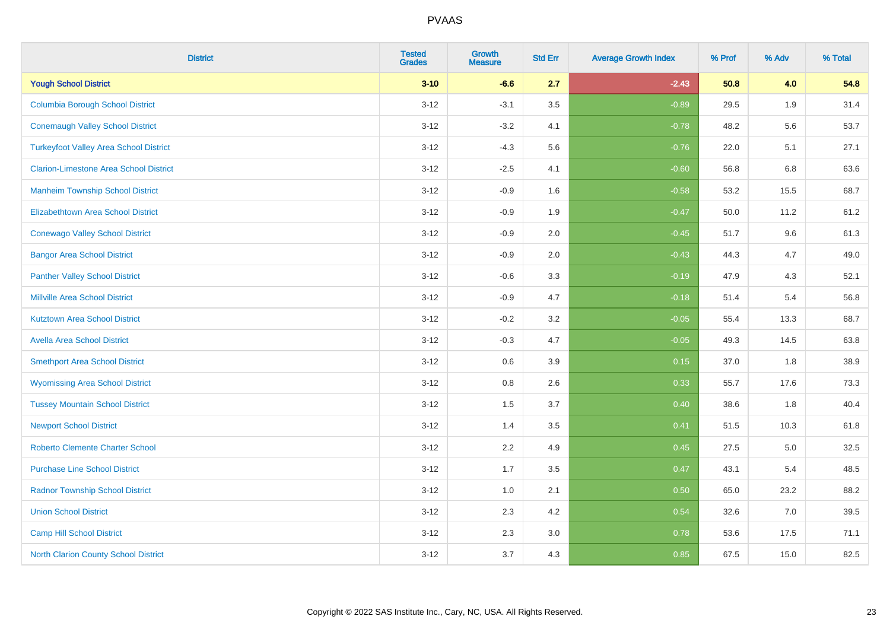| <b>District</b>                               | <b>Tested</b><br><b>Grades</b> | <b>Growth</b><br><b>Measure</b> | <b>Std Err</b> | <b>Average Growth Index</b> | % Prof | % Adv | % Total |
|-----------------------------------------------|--------------------------------|---------------------------------|----------------|-----------------------------|--------|-------|---------|
| <b>Yough School District</b>                  | $3 - 10$                       | $-6.6$                          | 2.7            | $-2.43$                     | 50.8   | 4.0   | 54.8    |
| <b>Columbia Borough School District</b>       | $3 - 12$                       | $-3.1$                          | 3.5            | $-0.89$                     | 29.5   | 1.9   | 31.4    |
| <b>Conemaugh Valley School District</b>       | $3 - 12$                       | $-3.2$                          | 4.1            | $-0.78$                     | 48.2   | 5.6   | 53.7    |
| <b>Turkeyfoot Valley Area School District</b> | $3 - 12$                       | $-4.3$                          | 5.6            | $-0.76$                     | 22.0   | 5.1   | 27.1    |
| <b>Clarion-Limestone Area School District</b> | $3 - 12$                       | $-2.5$                          | 4.1            | $-0.60$                     | 56.8   | 6.8   | 63.6    |
| <b>Manheim Township School District</b>       | $3 - 12$                       | $-0.9$                          | 1.6            | $-0.58$                     | 53.2   | 15.5  | 68.7    |
| <b>Elizabethtown Area School District</b>     | $3 - 12$                       | $-0.9$                          | 1.9            | $-0.47$                     | 50.0   | 11.2  | 61.2    |
| <b>Conewago Valley School District</b>        | $3 - 12$                       | $-0.9$                          | 2.0            | $-0.45$                     | 51.7   | 9.6   | 61.3    |
| <b>Bangor Area School District</b>            | $3 - 12$                       | $-0.9$                          | 2.0            | $-0.43$                     | 44.3   | 4.7   | 49.0    |
| <b>Panther Valley School District</b>         | $3 - 12$                       | $-0.6$                          | 3.3            | $-0.19$                     | 47.9   | 4.3   | 52.1    |
| <b>Millville Area School District</b>         | $3 - 12$                       | $-0.9$                          | 4.7            | $-0.18$                     | 51.4   | 5.4   | 56.8    |
| <b>Kutztown Area School District</b>          | $3 - 12$                       | $-0.2$                          | 3.2            | $-0.05$                     | 55.4   | 13.3  | 68.7    |
| <b>Avella Area School District</b>            | $3 - 12$                       | $-0.3$                          | 4.7            | $-0.05$                     | 49.3   | 14.5  | 63.8    |
| <b>Smethport Area School District</b>         | $3 - 12$                       | 0.6                             | 3.9            | 0.15                        | 37.0   | 1.8   | 38.9    |
| <b>Wyomissing Area School District</b>        | $3 - 12$                       | $0.8\,$                         | 2.6            | 0.33                        | 55.7   | 17.6  | 73.3    |
| <b>Tussey Mountain School District</b>        | $3 - 12$                       | 1.5                             | 3.7            | 0.40                        | 38.6   | 1.8   | 40.4    |
| <b>Newport School District</b>                | $3 - 12$                       | 1.4                             | 3.5            | 0.41                        | 51.5   | 10.3  | 61.8    |
| <b>Roberto Clemente Charter School</b>        | $3 - 12$                       | 2.2                             | 4.9            | 0.45                        | 27.5   | 5.0   | 32.5    |
| <b>Purchase Line School District</b>          | $3 - 12$                       | 1.7                             | 3.5            | 0.47                        | 43.1   | 5.4   | 48.5    |
| <b>Radnor Township School District</b>        | $3 - 12$                       | 1.0                             | 2.1            | 0.50                        | 65.0   | 23.2  | 88.2    |
| <b>Union School District</b>                  | $3 - 12$                       | 2.3                             | 4.2            | 0.54                        | 32.6   | 7.0   | 39.5    |
| Camp Hill School District                     | $3 - 12$                       | 2.3                             | 3.0            | 0.78                        | 53.6   | 17.5  | 71.1    |
| <b>North Clarion County School District</b>   | $3 - 12$                       | 3.7                             | 4.3            | 0.85                        | 67.5   | 15.0  | 82.5    |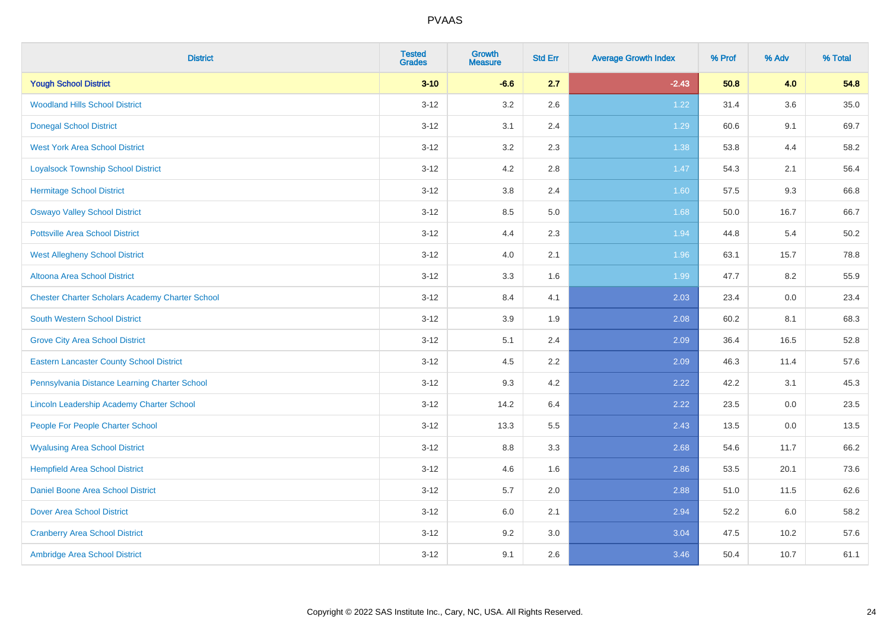| <b>District</b>                                        | <b>Tested</b><br><b>Grades</b> | Growth<br><b>Measure</b> | <b>Std Err</b> | <b>Average Growth Index</b> | % Prof | % Adv | % Total |
|--------------------------------------------------------|--------------------------------|--------------------------|----------------|-----------------------------|--------|-------|---------|
| <b>Yough School District</b>                           | $3 - 10$                       | $-6.6$                   | 2.7            | $-2.43$                     | 50.8   | 4.0   | 54.8    |
| <b>Woodland Hills School District</b>                  | $3 - 12$                       | 3.2                      | 2.6            | 1.22                        | 31.4   | 3.6   | 35.0    |
| <b>Donegal School District</b>                         | $3 - 12$                       | 3.1                      | 2.4            | 1.29                        | 60.6   | 9.1   | 69.7    |
| <b>West York Area School District</b>                  | $3 - 12$                       | $3.2\,$                  | 2.3            | 1.38                        | 53.8   | 4.4   | 58.2    |
| <b>Loyalsock Township School District</b>              | $3 - 12$                       | 4.2                      | 2.8            | 1.47                        | 54.3   | 2.1   | 56.4    |
| <b>Hermitage School District</b>                       | $3 - 12$                       | $3.8\,$                  | 2.4            | 1.60                        | 57.5   | 9.3   | 66.8    |
| <b>Oswayo Valley School District</b>                   | $3 - 12$                       | 8.5                      | 5.0            | 1.68                        | 50.0   | 16.7  | 66.7    |
| <b>Pottsville Area School District</b>                 | $3 - 12$                       | 4.4                      | 2.3            | 1.94                        | 44.8   | 5.4   | 50.2    |
| <b>West Allegheny School District</b>                  | $3 - 12$                       | 4.0                      | 2.1            | 1.96                        | 63.1   | 15.7  | 78.8    |
| <b>Altoona Area School District</b>                    | $3 - 12$                       | $3.3\,$                  | 1.6            | 1.99                        | 47.7   | 8.2   | 55.9    |
| <b>Chester Charter Scholars Academy Charter School</b> | $3 - 12$                       | 8.4                      | 4.1            | 2.03                        | 23.4   | 0.0   | 23.4    |
| <b>South Western School District</b>                   | $3 - 12$                       | 3.9                      | 1.9            | 2.08                        | 60.2   | 8.1   | 68.3    |
| <b>Grove City Area School District</b>                 | $3 - 12$                       | 5.1                      | 2.4            | 2.09                        | 36.4   | 16.5  | 52.8    |
| <b>Eastern Lancaster County School District</b>        | $3 - 12$                       | 4.5                      | 2.2            | 2.09                        | 46.3   | 11.4  | 57.6    |
| Pennsylvania Distance Learning Charter School          | $3 - 12$                       | 9.3                      | 4.2            | 2.22                        | 42.2   | 3.1   | 45.3    |
| Lincoln Leadership Academy Charter School              | $3 - 12$                       | 14.2                     | 6.4            | 2.22                        | 23.5   | 0.0   | 23.5    |
| People For People Charter School                       | $3 - 12$                       | 13.3                     | 5.5            | 2.43                        | 13.5   | 0.0   | 13.5    |
| <b>Wyalusing Area School District</b>                  | $3 - 12$                       | 8.8                      | 3.3            | 2.68                        | 54.6   | 11.7  | 66.2    |
| <b>Hempfield Area School District</b>                  | $3 - 12$                       | 4.6                      | 1.6            | 2.86                        | 53.5   | 20.1  | 73.6    |
| <b>Daniel Boone Area School District</b>               | $3 - 12$                       | 5.7                      | 2.0            | 2.88                        | 51.0   | 11.5  | 62.6    |
| <b>Dover Area School District</b>                      | $3 - 12$                       | 6.0                      | 2.1            | 2.94                        | 52.2   | 6.0   | 58.2    |
| <b>Cranberry Area School District</b>                  | $3 - 12$                       | 9.2                      | 3.0            | 3.04                        | 47.5   | 10.2  | 57.6    |
| Ambridge Area School District                          | $3 - 12$                       | 9.1                      | 2.6            | 3.46                        | 50.4   | 10.7  | 61.1    |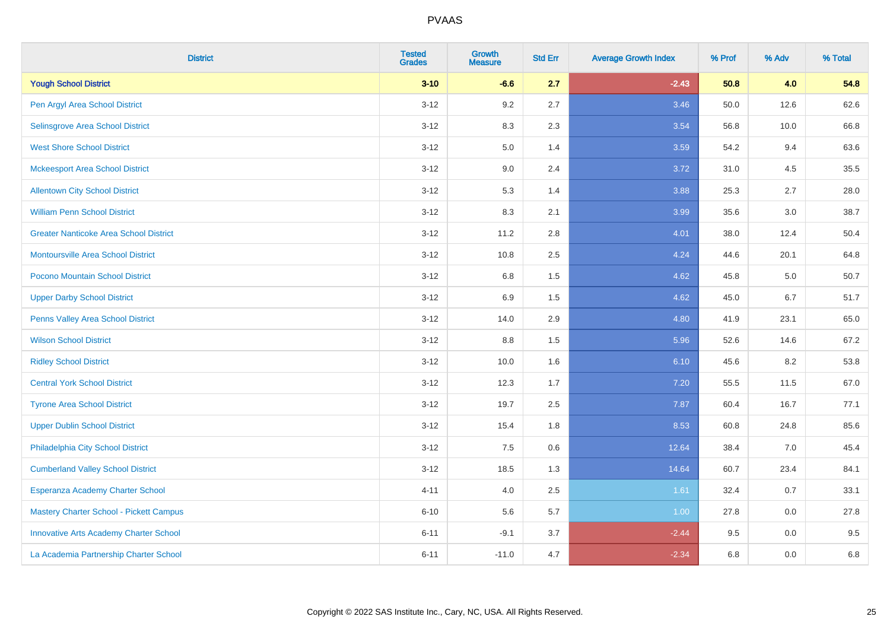| <b>District</b>                               | <b>Tested</b><br><b>Grades</b> | <b>Growth</b><br><b>Measure</b> | <b>Std Err</b> | <b>Average Growth Index</b> | % Prof | % Adv   | % Total |
|-----------------------------------------------|--------------------------------|---------------------------------|----------------|-----------------------------|--------|---------|---------|
| <b>Yough School District</b>                  | $3 - 10$                       | $-6.6$                          | 2.7            | $-2.43$                     | 50.8   | 4.0     | 54.8    |
| Pen Argyl Area School District                | $3 - 12$                       | 9.2                             | 2.7            | 3.46                        | 50.0   | 12.6    | 62.6    |
| Selinsgrove Area School District              | $3-12$                         | 8.3                             | 2.3            | 3.54                        | 56.8   | 10.0    | 66.8    |
| <b>West Shore School District</b>             | $3 - 12$                       | $5.0\,$                         | 1.4            | 3.59                        | 54.2   | 9.4     | 63.6    |
| <b>Mckeesport Area School District</b>        | $3 - 12$                       | 9.0                             | 2.4            | 3.72                        | 31.0   | 4.5     | 35.5    |
| <b>Allentown City School District</b>         | $3-12$                         | 5.3                             | 1.4            | 3.88                        | 25.3   | 2.7     | 28.0    |
| <b>William Penn School District</b>           | $3 - 12$                       | 8.3                             | 2.1            | 3.99                        | 35.6   | $3.0\,$ | 38.7    |
| <b>Greater Nanticoke Area School District</b> | $3 - 12$                       | 11.2                            | 2.8            | 4.01                        | 38.0   | 12.4    | 50.4    |
| <b>Montoursville Area School District</b>     | $3-12$                         | 10.8                            | 2.5            | 4.24                        | 44.6   | 20.1    | 64.8    |
| Pocono Mountain School District               | $3 - 12$                       | 6.8                             | 1.5            | 4.62                        | 45.8   | 5.0     | 50.7    |
| <b>Upper Darby School District</b>            | $3 - 12$                       | 6.9                             | 1.5            | 4.62                        | 45.0   | 6.7     | 51.7    |
| Penns Valley Area School District             | $3 - 12$                       | 14.0                            | 2.9            | 4.80                        | 41.9   | 23.1    | 65.0    |
| <b>Wilson School District</b>                 | $3 - 12$                       | 8.8                             | 1.5            | 5.96                        | 52.6   | 14.6    | 67.2    |
| <b>Ridley School District</b>                 | $3-12$                         | 10.0                            | 1.6            | 6.10                        | 45.6   | 8.2     | 53.8    |
| <b>Central York School District</b>           | $3-12$                         | 12.3                            | 1.7            | 7.20                        | 55.5   | 11.5    | 67.0    |
| <b>Tyrone Area School District</b>            | $3 - 12$                       | 19.7                            | 2.5            | 7.87                        | 60.4   | 16.7    | 77.1    |
| <b>Upper Dublin School District</b>           | $3-12$                         | 15.4                            | 1.8            | 8.53                        | 60.8   | 24.8    | 85.6    |
| Philadelphia City School District             | $3-12$                         | 7.5                             | 0.6            | 12.64                       | 38.4   | 7.0     | 45.4    |
| <b>Cumberland Valley School District</b>      | $3 - 12$                       | 18.5                            | 1.3            | 14.64                       | 60.7   | 23.4    | 84.1    |
| Esperanza Academy Charter School              | $4 - 11$                       | 4.0                             | 2.5            | 1.61                        | 32.4   | 0.7     | 33.1    |
| Mastery Charter School - Pickett Campus       | $6 - 10$                       | 5.6                             | 5.7            | 1.00                        | 27.8   | 0.0     | 27.8    |
| <b>Innovative Arts Academy Charter School</b> | $6 - 11$                       | $-9.1$                          | 3.7            | $-2.44$                     | 9.5    | 0.0     | 9.5     |
| La Academia Partnership Charter School        | $6 - 11$                       | $-11.0$                         | 4.7            | $-2.34$                     | 6.8    | 0.0     | 6.8     |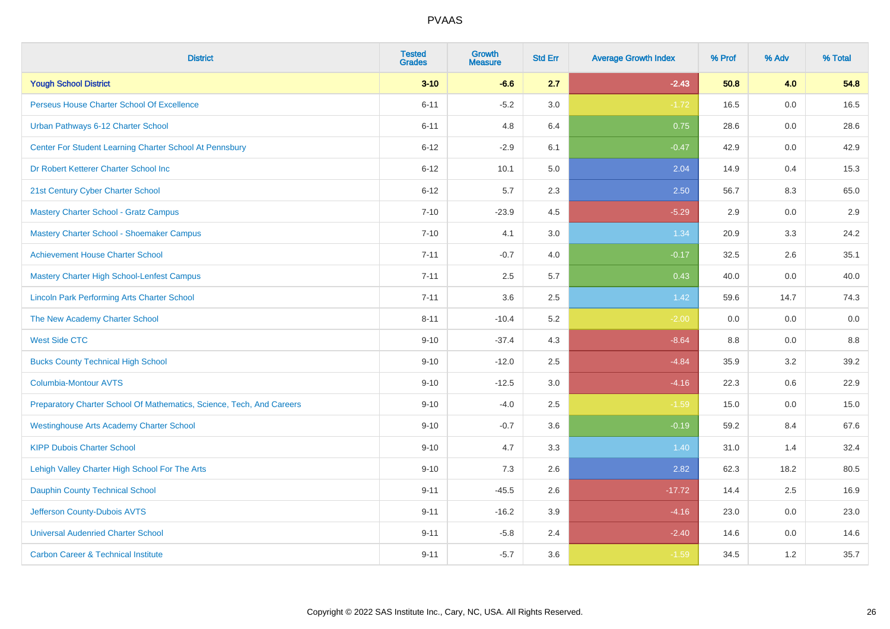| <b>District</b>                                                       | <b>Tested</b><br><b>Grades</b> | <b>Growth</b><br><b>Measure</b> | <b>Std Err</b> | <b>Average Growth Index</b> | % Prof | % Adv | % Total |
|-----------------------------------------------------------------------|--------------------------------|---------------------------------|----------------|-----------------------------|--------|-------|---------|
| <b>Yough School District</b>                                          | $3 - 10$                       | $-6.6$                          | 2.7            | $-2.43$                     | 50.8   | 4.0   | 54.8    |
| Perseus House Charter School Of Excellence                            | $6 - 11$                       | $-5.2$                          | 3.0            | $-1.72$                     | 16.5   | 0.0   | 16.5    |
| Urban Pathways 6-12 Charter School                                    | $6 - 11$                       | 4.8                             | 6.4            | 0.75                        | 28.6   | 0.0   | 28.6    |
| Center For Student Learning Charter School At Pennsbury               | $6 - 12$                       | $-2.9$                          | 6.1            | $-0.47$                     | 42.9   | 0.0   | 42.9    |
| Dr Robert Ketterer Charter School Inc                                 | $6 - 12$                       | 10.1                            | 5.0            | 2.04                        | 14.9   | 0.4   | 15.3    |
| 21st Century Cyber Charter School                                     | $6 - 12$                       | 5.7                             | 2.3            | 2.50                        | 56.7   | 8.3   | 65.0    |
| Mastery Charter School - Gratz Campus                                 | $7 - 10$                       | $-23.9$                         | 4.5            | $-5.29$                     | 2.9    | 0.0   | 2.9     |
| Mastery Charter School - Shoemaker Campus                             | $7 - 10$                       | 4.1                             | 3.0            | 1.34                        | 20.9   | 3.3   | 24.2    |
| <b>Achievement House Charter School</b>                               | $7 - 11$                       | $-0.7$                          | 4.0            | $-0.17$                     | 32.5   | 2.6   | 35.1    |
| <b>Mastery Charter High School-Lenfest Campus</b>                     | $7 - 11$                       | 2.5                             | 5.7            | 0.43                        | 40.0   | 0.0   | 40.0    |
| <b>Lincoln Park Performing Arts Charter School</b>                    | $7 - 11$                       | 3.6                             | 2.5            | 1.42                        | 59.6   | 14.7  | 74.3    |
| The New Academy Charter School                                        | $8 - 11$                       | $-10.4$                         | 5.2            | $-2.00$                     | 0.0    | 0.0   | 0.0     |
| <b>West Side CTC</b>                                                  | $9 - 10$                       | $-37.4$                         | 4.3            | $-8.64$                     | 8.8    | 0.0   | 8.8     |
| <b>Bucks County Technical High School</b>                             | $9 - 10$                       | $-12.0$                         | 2.5            | $-4.84$                     | 35.9   | 3.2   | 39.2    |
| <b>Columbia-Montour AVTS</b>                                          | $9 - 10$                       | $-12.5$                         | 3.0            | $-4.16$                     | 22.3   | 0.6   | 22.9    |
| Preparatory Charter School Of Mathematics, Science, Tech, And Careers | $9 - 10$                       | $-4.0$                          | 2.5            | $-1.59$                     | 15.0   | 0.0   | 15.0    |
| <b>Westinghouse Arts Academy Charter School</b>                       | $9 - 10$                       | $-0.7$                          | 3.6            | $-0.19$                     | 59.2   | 8.4   | 67.6    |
| <b>KIPP Dubois Charter School</b>                                     | $9 - 10$                       | 4.7                             | 3.3            | 1.40                        | 31.0   | 1.4   | 32.4    |
| Lehigh Valley Charter High School For The Arts                        | $9 - 10$                       | 7.3                             | 2.6            | 2.82                        | 62.3   | 18.2  | 80.5    |
| <b>Dauphin County Technical School</b>                                | $9 - 11$                       | $-45.5$                         | 2.6            | $-17.72$                    | 14.4   | 2.5   | 16.9    |
| Jefferson County-Dubois AVTS                                          | $9 - 11$                       | $-16.2$                         | 3.9            | $-4.16$                     | 23.0   | 0.0   | 23.0    |
| <b>Universal Audenried Charter School</b>                             | $9 - 11$                       | $-5.8$                          | 2.4            | $-2.40$                     | 14.6   | 0.0   | 14.6    |
| <b>Carbon Career &amp; Technical Institute</b>                        | $9 - 11$                       | $-5.7$                          | 3.6            | $-1.59$                     | 34.5   | 1.2   | 35.7    |